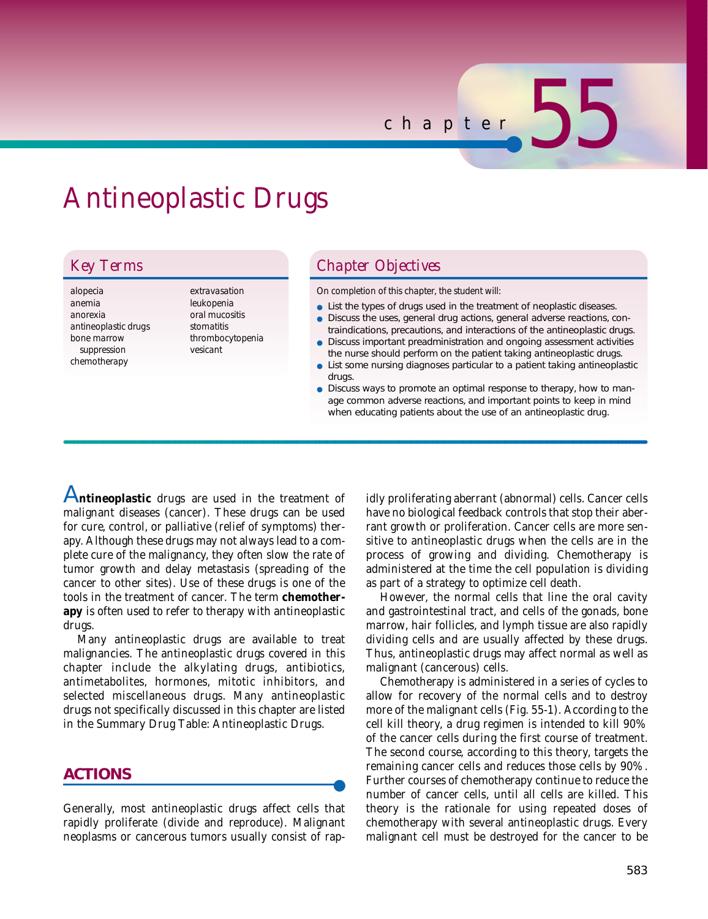## malignant (cancerous) cells. Chemotherapy is administered in a series of cycles to allow for recovery of the normal cells and to destroy more of the malignant cells (Fig. 55-1). According to the cell kill theory, a drug regimen is intended to kill 90% of the cancer cells during the first course of treatment. The second course, according to this theory, targets the remaining cancer cells and reduces those cells by 90%. Further courses of chemotherapy continue to reduce the number of cancer cells, until all cells are killed. This theory is the rationale for using repeated doses of chemotherapy with several antineoplastic drugs. Every

malignant cell must be destroyed for the cancer to be

as part of a strategy to optimize cell death. However, the normal cells that line the oral cavity and gastrointestinal tract, and cells of the gonads, bone marrow, hair follicles, and lymph tissue are also rapidly dividing cells and are usually affected by these drugs. Thus, antineoplastic drugs may affect normal as well as

idly proliferating aberrant (abnormal) cells. Cancer cells have no biological feedback controls that stop their aberrant growth or proliferation. Cancer cells are more sensitive to antineoplastic drugs when the cells are in the process of growing and dividing. Chemotherapy is administered at the time the cell population is dividing

drugs.

Antineoplastic Drugs

*alopecia anemia anorexia antineoplastic drugs bone marrow suppression chemotherapy*

*extravasation leukopenia oral mucositis stomatitis thrombocytopenia vesicant*

## *Key Terms Chapter Objectives*

*On completion of this chapter, the student will:*

- List the types of drugs used in the treatment of neoplastic diseases.
- Discuss the uses, general drug actions, general adverse reactions, contraindications, precautions, and interactions of the antineoplastic drugs.

*chapter* 55

- Discuss important preadministration and ongoing assessment activities the nurse should perform on the patient taking antineoplastic drugs.
- List some nursing diagnoses particular to a patient taking antineoplastic
- Discuss ways to promote an optimal response to therapy, how to manage common adverse reactions, and important points to keep in mind when educating patients about the use of an antineoplastic drug.

A**ntineoplastic** drugs are used in the treatment of malignant diseases (cancer). These drugs can be used for cure, control, or palliative (relief of symptoms) therapy. Although these drugs may not always lead to a complete cure of the malignancy, they often slow the rate of tumor growth and delay metastasis (spreading of the cancer to other sites). Use of these drugs is one of the tools in the treatment of cancer. The term **chemotherapy** is often used to refer to therapy with antineoplastic drugs.

Many antineoplastic drugs are available to treat malignancies. The antineoplastic drugs covered in this chapter include the alkylating drugs, antibiotics, antimetabolites, hormones, mitotic inhibitors, and selected miscellaneous drugs. Many antineoplastic drugs not specifically discussed in this chapter are listed in the Summary Drug Table: Antineoplastic Drugs.

## **ACTIONS** ●

Generally, most antineoplastic drugs affect cells that rapidly proliferate (divide and reproduce). Malignant neoplasms or cancerous tumors usually consist of rap-

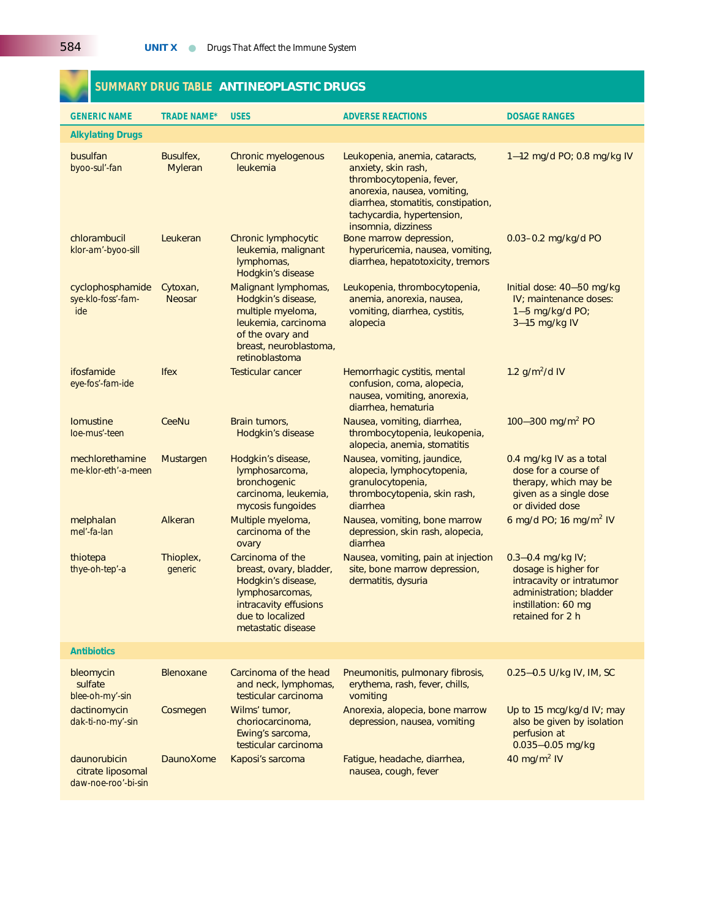## **SUMMARY DRUG TABLE ANTINEOPLASTIC DRUGS**

| <b>GENERIC NAME</b>                                                          | <b>TRADE NAME*</b>           | <b>USES</b>                                                                                                                                             | <b>ADVERSE REACTIONS</b>                                                                                                                                                                                     | <b>DOSAGE RANGES</b>                                                                                                                         |
|------------------------------------------------------------------------------|------------------------------|---------------------------------------------------------------------------------------------------------------------------------------------------------|--------------------------------------------------------------------------------------------------------------------------------------------------------------------------------------------------------------|----------------------------------------------------------------------------------------------------------------------------------------------|
| <b>Alkylating Drugs</b>                                                      |                              |                                                                                                                                                         |                                                                                                                                                                                                              |                                                                                                                                              |
| busulfan<br>byoo-sul'-fan                                                    | Busulfex,<br><b>Myleran</b>  | Chronic myelogenous<br><b>leukemia</b>                                                                                                                  | Leukopenia, anemia, cataracts,<br>anxiety, skin rash,<br>thrombocytopenia, fever,<br>anorexia, nausea, vomiting,<br>diarrhea, stomatitis, constipation,<br>tachycardia, hypertension,<br>insomnia, dizziness | 1-12 mg/d PO; 0.8 mg/kg IV                                                                                                                   |
| chlorambucil<br>klor-am'-byoo-sill                                           | Leukeran                     | Chronic lymphocytic<br>leukemia, malignant<br>lymphomas,<br>Hodgkin's disease                                                                           | Bone marrow depression,<br>hyperuricemia, nausea, vomiting,<br>diarrhea, hepatotoxicity, tremors                                                                                                             | 0.03-0.2 mg/kg/d PO                                                                                                                          |
| cyclophosphamide<br>sye-klo-foss'-fam-<br>ide                                | Cytoxan,<br><b>Neosar</b>    | Malignant lymphomas,<br>Hodgkin's disease,<br>multiple myeloma,<br>leukemia, carcinoma<br>of the ovary and<br>breast, neuroblastoma,<br>retinoblastoma  | Leukopenia, thrombocytopenia,<br>anemia, anorexia, nausea,<br>vomiting, diarrhea, cystitis,<br>alopecia                                                                                                      | Initial dose: 40-50 mg/kg<br>IV; maintenance doses:<br>1-5 mg/kg/d PO;<br>3-15 mg/kg IV                                                      |
| ifosfamide<br>eye-fos'-fam-ide                                               | <b>Ifex</b>                  | <b>Testicular cancer</b>                                                                                                                                | Hemorrhagic cystitis, mental<br>confusion, coma, alopecia,<br>nausea, vomiting, anorexia,<br>diarrhea, hematuria                                                                                             | 1.2 $g/m^2/d$ IV                                                                                                                             |
| <b>Iomustine</b><br>loe-mus'-teen                                            | CeeNu                        | Brain tumors,<br>Hodgkin's disease                                                                                                                      | Nausea, vomiting, diarrhea,<br>thrombocytopenia, leukopenia,<br>alopecia, anemia, stomatitis                                                                                                                 | 100-300 mg/m <sup>2</sup> PO                                                                                                                 |
| mechlorethamine<br>me-klor-eth'-a-meen                                       | Mustargen                    | Hodgkin's disease,<br>lymphosarcoma,<br>bronchogenic<br>carcinoma, leukemia,<br>mycosis fungoides                                                       | Nausea, vomiting, jaundice,<br>alopecia, lymphocytopenia,<br>granulocytopenia,<br>thrombocytopenia, skin rash,<br>diarrhea                                                                                   | 0.4 mg/kg IV as a total<br>dose for a course of<br>therapy, which may be<br>given as a single dose<br>or divided dose                        |
| melphalan<br>mel'-fa-lan                                                     | Alkeran                      | Multiple myeloma,<br>carcinoma of the<br>ovary                                                                                                          | Nausea, vomiting, bone marrow<br>depression, skin rash, alopecia,<br>diarrhea                                                                                                                                | 6 mg/d PO; 16 mg/m <sup>2</sup> IV                                                                                                           |
| thiotepa<br>thye-oh-tep'-a                                                   | Thioplex,<br>generic         | Carcinoma of the<br>breast, ovary, bladder,<br>Hodgkin's disease,<br>lymphosarcomas,<br>intracavity effusions<br>due to localized<br>metastatic disease | Nausea, vomiting, pain at injection<br>site, bone marrow depression,<br>dermatitis, dysuria                                                                                                                  | 0.3-0.4 mg/kg IV;<br>dosage is higher for<br>intracavity or intratumor<br>administration; bladder<br>instillation: 60 mg<br>retained for 2 h |
| <b>Antibiotics</b>                                                           |                              |                                                                                                                                                         |                                                                                                                                                                                                              |                                                                                                                                              |
| bleomycin<br>sulfate<br>blee-oh-my'-sin<br>dactinomycin<br>dak-ti-no-my'-sin | <b>Blenoxane</b><br>Cosmegen | Carcinoma of the head<br>and neck, lymphomas,<br>testicular carcinoma<br>Wilms' tumor.<br>choriocarcinoma,                                              | Pneumonitis, pulmonary fibrosis,<br>erythema, rash, fever, chills,<br>vomiting<br>Anorexia, alopecia, bone marrow<br>depression, nausea, vomiting                                                            | 0.25-0.5 U/kg IV, IM, SC<br>Up to 15 mcg/kg/d IV; may<br>also be given by isolation                                                          |
| daunorubicin<br>citrate liposomal<br>daw-noe-roo'-bi-sin                     | <b>DaunoXome</b>             | Ewing's sarcoma,<br>testicular carcinoma<br>Kaposi's sarcoma                                                                                            | Fatique, headache, diarrhea,<br>nausea, cough, fever                                                                                                                                                         | perfusion at<br>0.035-0.05 mg/kg<br>40 mg/m <sup>2</sup> IV                                                                                  |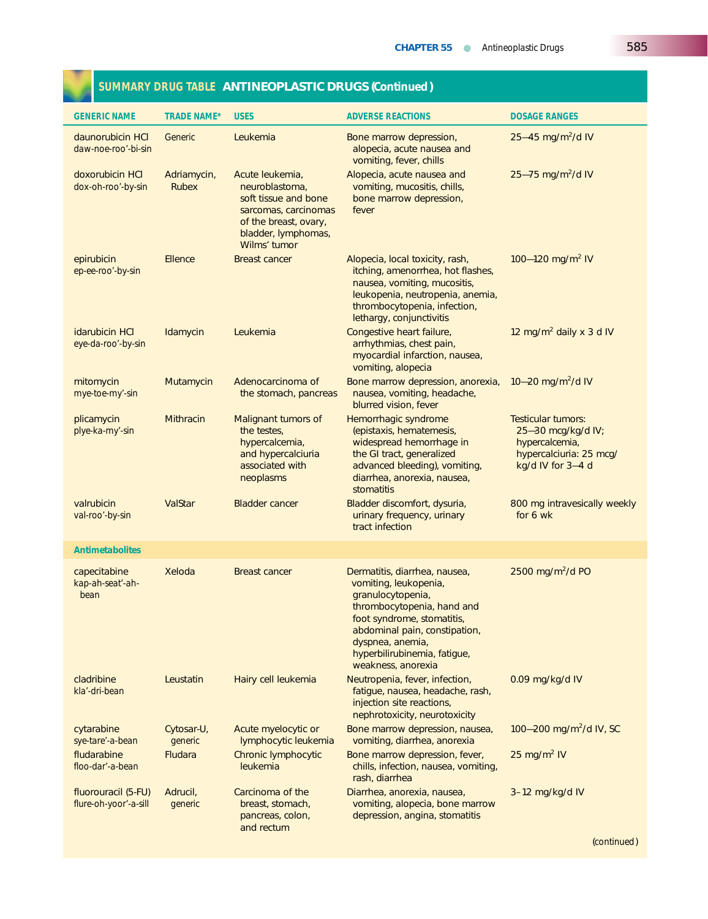|                                              |                             | $m_{\text{max}}$ $m_{\text{max}}$ $m_{\text{max}}$ $m_{\text{max}}$ $m_{\text{max}}$ $m_{\text{max}}$                                             |                                                                                                                                                                                                                                                           |                                                                                                                   |
|----------------------------------------------|-----------------------------|---------------------------------------------------------------------------------------------------------------------------------------------------|-----------------------------------------------------------------------------------------------------------------------------------------------------------------------------------------------------------------------------------------------------------|-------------------------------------------------------------------------------------------------------------------|
| <b>GENERIC NAME</b>                          | <b>TRADE NAME*</b>          | <b>USES</b>                                                                                                                                       | <b>ADVERSE REACTIONS</b>                                                                                                                                                                                                                                  | <b>DOSAGE RANGES</b>                                                                                              |
| daunorubicin HCI<br>daw-noe-roo'-bi-sin      | Generic                     | Leukemia                                                                                                                                          | Bone marrow depression,<br>alopecia, acute nausea and<br>vomiting, fever, chills                                                                                                                                                                          | 25-45 mg/m <sup>2</sup> /d IV                                                                                     |
| doxorubicin HCI<br>dox-oh-roo'-by-sin        | Adriamycin,<br><b>Rubex</b> | Acute leukemia,<br>neuroblastoma,<br>soft tissue and bone<br>sarcomas, carcinomas<br>of the breast, ovary,<br>bladder, lymphomas,<br>Wilms' tumor | Alopecia, acute nausea and<br>vomiting, mucositis, chills,<br>bone marrow depression,<br>fever                                                                                                                                                            | 25-75 mg/m <sup>2</sup> /d IV                                                                                     |
| epirubicin<br>ep-ee-roo'-by-sin              | Ellence                     | <b>Breast cancer</b>                                                                                                                              | Alopecia, local toxicity, rash,<br>itching, amenorrhea, hot flashes,<br>nausea, vomiting, mucositis,<br>leukopenia, neutropenia, anemia,<br>thrombocytopenia, infection,<br>lethargy, conjunctivitis                                                      | 100-120 mg/m <sup>2</sup> IV                                                                                      |
| <b>idarubicin HCI</b><br>eye-da-roo'-by-sin  | Idamycin                    | Leukemia                                                                                                                                          | Congestive heart failure,<br>arrhythmias, chest pain,<br>myocardial infarction, nausea,<br>vomiting, alopecia                                                                                                                                             | 12 mg/m <sup>2</sup> daily x 3 d IV                                                                               |
| mitomycin<br>mye-toe-my'-sin                 | Mutamycin                   | Adenocarcinoma of<br>the stomach, pancreas                                                                                                        | Bone marrow depression, anorexia,<br>nausea, vomiting, headache,<br>blurred vision, fever                                                                                                                                                                 | 10-20 mg/m <sup>2</sup> /d IV                                                                                     |
| plicamycin<br>plye-ka-my'-sin                | <b>Mithracin</b>            | Malignant tumors of<br>the testes,<br>hypercalcemia,<br>and hypercalciuria<br>associated with<br>neoplasms                                        | Hemorrhagic syndrome<br>(epistaxis, hematemesis,<br>widespread hemorrhage in<br>the GI tract, generalized<br>advanced bleeding), vomiting,<br>diarrhea, anorexia, nausea,<br>stomatitis                                                                   | <b>Testicular tumors:</b><br>25-30 mcg/kg/d IV;<br>hypercalcemia,<br>hypercalciuria: 25 mcg/<br>kg/d IV for 3-4 d |
| valrubicin<br>val-roo'-by-sin                | ValStar                     | <b>Bladder cancer</b>                                                                                                                             | Bladder discomfort, dysuria,<br>urinary frequency, urinary<br>tract infection                                                                                                                                                                             | 800 mg intravesically weekly<br>for 6 wk                                                                          |
| <b>Antimetabolites</b>                       |                             |                                                                                                                                                   |                                                                                                                                                                                                                                                           |                                                                                                                   |
| capecitabine<br>kap-ah-seat'-ah-<br>bean     | Xeloda                      | <b>Breast cancer</b>                                                                                                                              | Dermatitis, diarrhea, nausea,<br>vomiting, leukopenia,<br>granulocytopenia,<br>thrombocytopenia, hand and<br><u>root syndrome, stomatitis,</u><br>abdominal pain, constipation,<br>dyspnea, anemia,<br>hyperbilirubinemia, fatigue,<br>weakness, anorexia | 2500 mg/m <sup>2</sup> /d PO                                                                                      |
| cladribine<br>kla'-dri-bean                  | Leustatin                   | Hairy cell leukemia                                                                                                                               | Neutropenia, fever, infection,<br>fatigue, nausea, headache, rash,<br>injection site reactions,<br>nephrotoxicity, neurotoxicity                                                                                                                          | 0.09 mg/kg/d IV                                                                                                   |
| cytarabine<br>sye-tare'-a-bean               | Cytosar-U,<br>generic       | Acute myelocytic or<br>lymphocytic leukemia                                                                                                       | Bone marrow depression, nausea,<br>vomiting, diarrhea, anorexia                                                                                                                                                                                           | 100-200 mg/m <sup>2</sup> /d IV, SC                                                                               |
| fludarabine<br>floo-dar'-a-bean              | Fludara                     | Chronic lymphocytic<br>leukemia                                                                                                                   | Bone marrow depression, fever,<br>chills, infection, nausea, vomiting,<br>rash, diarrhea                                                                                                                                                                  | $25 \text{ mg/m}^2$ IV                                                                                            |
| fluorouracil (5-FU)<br>flure-oh-yoor'-a-sill | Adrucil,<br>generic         | Carcinoma of the<br>breast, stomach,<br>pancreas, colon,<br>and rectum                                                                            | Diarrhea, anorexia, nausea,<br>vomiting, alopecia, bone marrow<br>depression, angina, stomatitis                                                                                                                                                          | 3-12 mg/kg/d IV                                                                                                   |

(*continued*)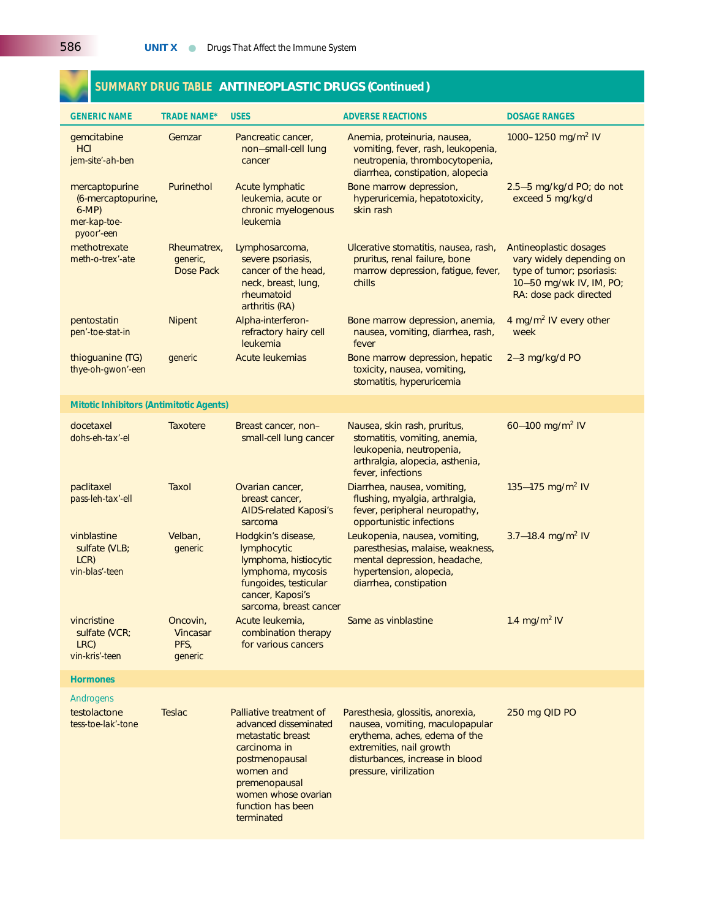|                                                                              |                                         | SUMMARY DRUG TABLE ANTINEOPLASTIC DRUGS (Continued)                                                                                                                                             |                                                                                                                                                                                                |                                                                                                                                      |
|------------------------------------------------------------------------------|-----------------------------------------|-------------------------------------------------------------------------------------------------------------------------------------------------------------------------------------------------|------------------------------------------------------------------------------------------------------------------------------------------------------------------------------------------------|--------------------------------------------------------------------------------------------------------------------------------------|
| <b>GENERIC NAME</b>                                                          | <b>TRADE NAME*</b>                      | <b>USES</b>                                                                                                                                                                                     | <b>ADVERSE REACTIONS</b>                                                                                                                                                                       | <b>DOSAGE RANGES</b>                                                                                                                 |
| gemcitabine<br><b>HCI</b><br>jem-site'-ah-ben                                | Gemzar                                  | Pancreatic cancer,<br>non-small-cell lung<br>cancer                                                                                                                                             | Anemia, proteinuria, nausea,<br>vomiting, fever, rash, leukopenia,<br>neutropenia, thrombocytopenia,<br>diarrhea, constipation, alopecia                                                       | 1000-1250 mg/m <sup>2</sup> IV                                                                                                       |
| mercaptopurine<br>(6-mercaptopurine,<br>$6-MP$<br>mer-kap-toe-<br>pyoor'-een | Purinethol                              | <b>Acute lymphatic</b><br>leukemia, acute or<br>chronic myelogenous<br>leukemia                                                                                                                 | Bone marrow depression,<br>hyperuricemia, hepatotoxicity,<br>skin rash                                                                                                                         | 2.5-5 mg/kg/d PO; do not<br>exceed 5 mg/kg/d                                                                                         |
| methotrexate<br>meth-o-trex'-ate                                             | Rheumatrex,<br>generic,<br>Dose Pack    | Lymphosarcoma,<br>severe psoriasis,<br>cancer of the head,<br>neck, breast, lung,<br>rheumatoid<br>arthritis (RA)                                                                               | Ulcerative stomatitis, nausea, rash,<br>pruritus, renal failure, bone<br>marrow depression, fatigue, fever,<br>chills                                                                          | Antineoplastic dosages<br>vary widely depending on<br>type of tumor; psoriasis:<br>10-50 mg/wk IV, IM, PO;<br>RA: dose pack directed |
| pentostatin<br>pen'-toe-stat-in                                              | <b>Nipent</b>                           | Alpha-interferon-<br>refractory hairy cell<br>leukemia                                                                                                                                          | Bone marrow depression, anemia,<br>nausea, vomiting, diarrhea, rash,<br>fever                                                                                                                  | 4 mg/m <sup>2</sup> IV every other<br>week                                                                                           |
| thioguanine (TG)<br>thye-oh-gwon'-een                                        | generic                                 | <b>Acute leukemias</b>                                                                                                                                                                          | Bone marrow depression, hepatic<br>toxicity, nausea, vomiting,<br>stomatitis, hyperuricemia                                                                                                    | 2-3 mg/kg/d PO                                                                                                                       |
| <b>Mitotic Inhibitors (Antimitotic Agents)</b>                               |                                         |                                                                                                                                                                                                 |                                                                                                                                                                                                |                                                                                                                                      |
| docetaxel<br>dohs-eh-tax'-el                                                 | <b>Taxotere</b>                         | Breast cancer, non-<br>small-cell lung cancer                                                                                                                                                   | Nausea, skin rash, pruritus,<br>stomatitis, vomiting, anemia,<br>leukopenia, neutropenia,<br>arthralgia, alopecia, asthenia,<br>fever, infections                                              | 60-100 mg/m <sup>2</sup> IV                                                                                                          |
| paclitaxel<br>pass-leh-tax'-ell                                              | Taxol                                   | Ovarian cancer,<br>breast cancer,<br><b>AIDS-related Kaposi's</b><br>sarcoma                                                                                                                    | Diarrhea, nausea, vomiting,<br>flushing, myalgia, arthralgia,<br>fever, peripheral neuropathy,<br>opportunistic infections                                                                     | 135-175 mg/m <sup>2</sup> IV                                                                                                         |
| vinblastine<br>sulfate (VLB;<br>LCR<br>vin-blas'-teen                        | Velban,<br>generic                      | Hodgkin's disease,<br>lymphocytic<br>lymphoma, histiocytic<br>lymphoma, mycosis<br>fungoides, testicular<br>cancer, Kaposi's<br>sarcoma, breast cancer                                          | Leukopenia, nausea, vomiting,<br>paresthesias, malaise, weakness,<br>mental depression, headache,<br>hypertension, alopecia,<br>diarrhea, constipation                                         | 3.7-18.4 mg/m <sup>2</sup> IV                                                                                                        |
| vincristine<br>sulfate (VCR;<br>LRC)<br>vin-kris'-teen                       | Oncovin,<br>Vincasar<br>PFS,<br>generic | Acute leukemia,<br>combination therapy<br>for various cancers                                                                                                                                   | Same as vinblastine                                                                                                                                                                            | 1.4 mg/m <sup>2</sup> IV                                                                                                             |
| <b>Hormones</b>                                                              |                                         |                                                                                                                                                                                                 |                                                                                                                                                                                                |                                                                                                                                      |
| <b>Androgens</b><br>testolactone<br>tess-toe-lak'-tone                       | <b>Teslac</b>                           | Palliative treatment of<br>advanced disseminated<br>metastatic breast<br>carcinoma in<br>postmenopausal<br>women and<br>premenopausal<br>women whose ovarian<br>function has been<br>terminated | Paresthesia, glossitis, anorexia,<br>nausea, vomiting, maculopapular<br>erythema, aches, edema of the<br>extremities, nail growth<br>disturbances, increase in blood<br>pressure, virilization | 250 mg QID PO                                                                                                                        |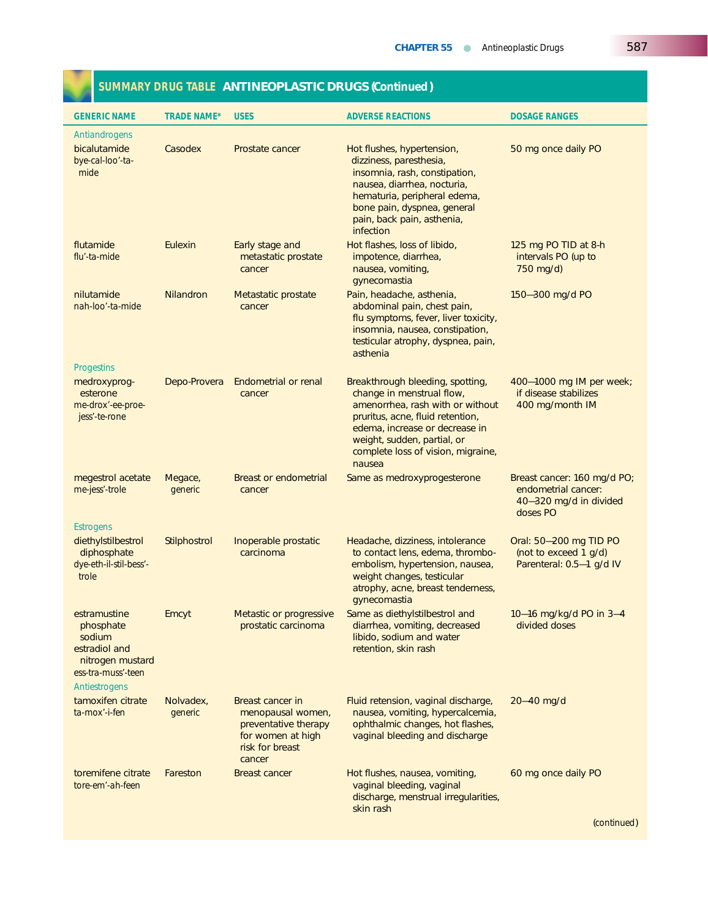|                                                                                                                 |                      | <b>SUMIMART DRUG IABLE AIVITIVEOFLASTIC DRUGS (CONTINUED)</b>                                                   |                                                                                                                                                                                                                                                        |                                                                                          |
|-----------------------------------------------------------------------------------------------------------------|----------------------|-----------------------------------------------------------------------------------------------------------------|--------------------------------------------------------------------------------------------------------------------------------------------------------------------------------------------------------------------------------------------------------|------------------------------------------------------------------------------------------|
| <b>GENERIC NAME</b>                                                                                             | <b>TRADE NAME*</b>   | <b>USES</b>                                                                                                     | <b>ADVERSE REACTIONS</b>                                                                                                                                                                                                                               | <b>DOSAGE RANGES</b>                                                                     |
| Antiandrogens<br>bicalutamide<br>bye-cal-loo'-ta-<br>mide                                                       | Casodex              | Prostate cancer                                                                                                 | Hot flushes, hypertension,<br>dizziness, paresthesia,<br>insomnia, rash, constipation,<br>nausea, diarrhea, nocturia,<br>hematuria, peripheral edema,<br>bone pain, dyspnea, general<br>pain, back pain, asthenia,<br>infection                        | 50 mg once daily PO                                                                      |
| flutamide<br>flu'-ta-mide                                                                                       | Eulexin              | Early stage and<br>metastatic prostate<br>cancer                                                                | Hot flashes, loss of libido,<br>impotence, diarrhea,<br>nausea, vomiting,<br>gynecomastia                                                                                                                                                              | 125 mg PO TID at 8-h<br>intervals PO (up to<br>750 mg/d)                                 |
| nilutamide<br>nah-loo'-ta-mide                                                                                  | <b>Nilandron</b>     | Metastatic prostate<br>cancer                                                                                   | Pain, headache, asthenia,<br>abdominal pain, chest pain,<br>flu symptoms, fever, liver toxicity,<br>insomnia, nausea, constipation,<br>testicular atrophy, dyspnea, pain,<br>asthenia                                                                  | 150-300 mg/d PO                                                                          |
| <b>Progestins</b><br>medroxyproq-<br>esterone<br>me-drox'-ee-proe-<br>jess'-te-rone                             | Depo-Provera         | Endometrial or renal<br>cancer                                                                                  | Breakthrough bleeding, spotting,<br>change in menstrual flow,<br>amenorrhea, rash with or without<br>pruritus, acne, fluid retention,<br>edema, increase or decrease in<br>weight, sudden, partial, or<br>complete loss of vision, migraine,<br>nausea | 400-1000 mg IM per week;<br>if disease stabilizes<br>400 mg/month IM                     |
| megestrol acetate<br>me-jess'-trole                                                                             | Megace,<br>generic   | <b>Breast or endometrial</b><br>cancer                                                                          | Same as medroxyprogesterone                                                                                                                                                                                                                            | Breast cancer: 160 mg/d PO;<br>endometrial cancer:<br>40-320 mg/d in divided<br>doses PO |
| <b>Estrogens</b><br>diethylstilbestrol<br>diphosphate<br>dye-eth-il-stil-bess'-<br>trole                        | <b>Stilphostrol</b>  | Inoperable prostatic<br>carcinoma                                                                               | Headache, dizziness, intolerance<br>to contact lens, edema, thrombo-<br>embolism, hypertension, nausea,<br>weight changes, testicular<br>atrophy, acne, breast tenderness,<br>gynecomastia                                                             | Oral: 50-200 mg TID PO<br>(not to exceed 1 g/d)<br>Parenteral: 0.5-1 g/d IV              |
| estramustine<br>phosphate<br>sodium<br>estradiol and<br>nitrogen mustard<br>ess-tra-muss'-teen<br>Antiestrogens | Emcyt                | Metastic or progressive<br>prostatic carcinoma                                                                  | Same as diethylstilbestrol and<br>diarrhea, vomiting, decreased<br>libido, sodium and water<br>retention, skin rash                                                                                                                                    | 10-16 mg/kg/d PO in 3-4<br>divided doses                                                 |
| tamoxifen citrate<br>ta-mox'-i-fen                                                                              | Nolvadex,<br>generic | Breast cancer in<br>menopausal women,<br>preventative therapy<br>for women at high<br>risk for breast<br>cancer | Fluid retension, vaginal discharge,<br>nausea, vomiting, hypercalcemia,<br>ophthalmic changes, hot flashes,<br>vaginal bleeding and discharge                                                                                                          | $20 - 40$ mg/d                                                                           |
| toremifene citrate<br>tore-em'-ah-feen                                                                          | Fareston             | <b>Breast cancer</b>                                                                                            | Hot flushes, nausea, vomiting,<br>vaginal bleeding, vaginal<br>discharge, menstrual irregularities,<br>skin rash                                                                                                                                       | 60 mg once daily PO                                                                      |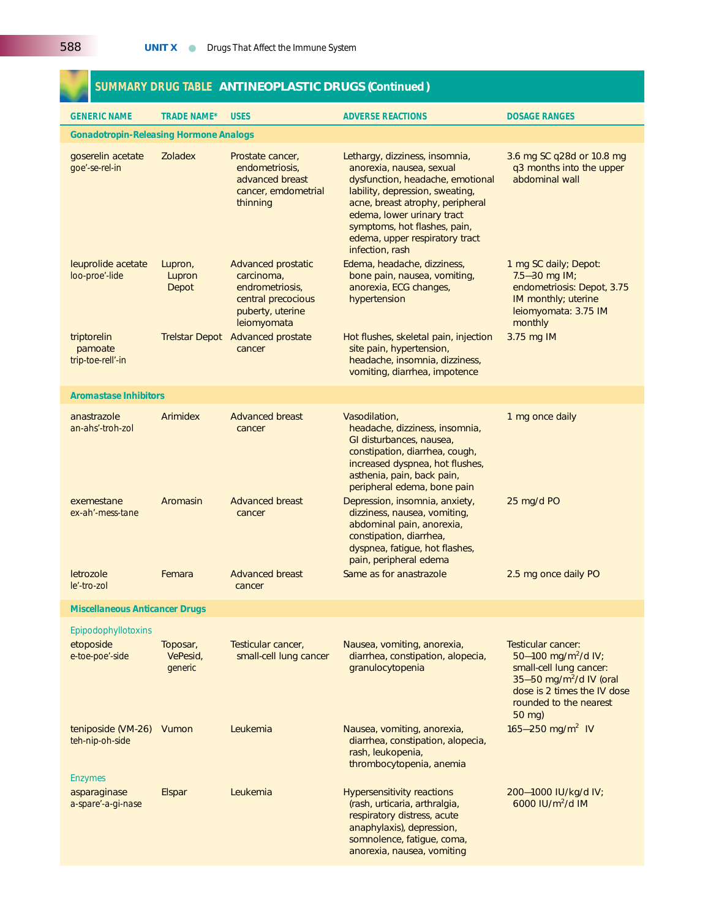|                                                      |                                 | SUMMARY DRUG TABLE ANTINEOPLASTIC DRUGS (Continued)                                                                 |                                                                                                                                                                                                                                                                                          |                                                                                                                                                                                            |
|------------------------------------------------------|---------------------------------|---------------------------------------------------------------------------------------------------------------------|------------------------------------------------------------------------------------------------------------------------------------------------------------------------------------------------------------------------------------------------------------------------------------------|--------------------------------------------------------------------------------------------------------------------------------------------------------------------------------------------|
| <b>GENERIC NAME</b>                                  | <b>TRADE NAME*</b>              | <b>USES</b>                                                                                                         | <b>ADVERSE REACTIONS</b>                                                                                                                                                                                                                                                                 | <b>DOSAGE RANGES</b>                                                                                                                                                                       |
| <b>Gonadotropin-Releasing Hormone Analogs</b>        |                                 |                                                                                                                     |                                                                                                                                                                                                                                                                                          |                                                                                                                                                                                            |
| goserelin acetate<br>goe'-se-rel-in                  | <b>Zoladex</b>                  | Prostate cancer,<br>endometriosis,<br>advanced breast<br>cancer, emdometrial<br>thinning                            | Lethargy, dizziness, insomnia,<br>anorexia, nausea, sexual<br>dysfunction, headache, emotional<br>lability, depression, sweating,<br>acne, breast atrophy, peripheral<br>edema, lower urinary tract<br>symptoms, hot flashes, pain,<br>edema, upper respiratory tract<br>infection, rash | 3.6 mg SC q28d or 10.8 mg<br>q3 months into the upper<br>abdominal wall                                                                                                                    |
| leuprolide acetate<br>loo-proe'-lide                 | Lupron,<br>Lupron<br>Depot      | <b>Advanced prostatic</b><br>carcinoma,<br>endrometriosis,<br>central precocious<br>puberty, uterine<br>leiomyomata | Edema, headache, dizziness,<br>bone pain, nausea, vomiting,<br>anorexia, ECG changes,<br>hypertension                                                                                                                                                                                    | 1 mg SC daily; Depot:<br>7.5-30 mg IM;<br>endometriosis: Depot, 3.75<br>IM monthly; uterine<br>leiomyomata: 3.75 IM<br>monthly                                                             |
| triptorelin<br>pamoate<br>trip-toe-rell'-in          |                                 | Trelstar Depot Advanced prostate<br>cancer                                                                          | Hot flushes, skeletal pain, injection<br>site pain, hypertension,<br>headache, insomnia, dizziness,<br>vomiting, diarrhea, impotence                                                                                                                                                     | 3.75 mg IM                                                                                                                                                                                 |
| <b>Aromastase Inhibitors</b>                         |                                 |                                                                                                                     |                                                                                                                                                                                                                                                                                          |                                                                                                                                                                                            |
| anastrazole<br>an-ahs'-troh-zol                      | Arimidex                        | <b>Advanced breast</b><br>cancer                                                                                    | Vasodilation,<br>headache, dizziness, insomnia,<br>GI disturbances, nausea,<br>constipation, diarrhea, cough,<br>increased dyspnea, hot flushes,<br>asthenia, pain, back pain,<br>peripheral edema, bone pain                                                                            | 1 mg once daily                                                                                                                                                                            |
| exemestane<br>ex-ah'-mess-tane                       | Aromasin                        | <b>Advanced breast</b><br>cancer                                                                                    | Depression, insomnia, anxiety,<br>dizziness, nausea, vomiting,<br>abdominal pain, anorexia,<br>constipation, diarrhea,<br>dyspnea, fatigue, hot flashes,<br>pain, peripheral edema                                                                                                       | 25 mg/d PO                                                                                                                                                                                 |
| letrozole<br>le'-tro-zol                             | Femara                          | <b>Advanced breast</b><br>cancer                                                                                    | Same as for anastrazole                                                                                                                                                                                                                                                                  | 2.5 mg once daily PO                                                                                                                                                                       |
| <b>Miscellaneous Anticancer Drugs</b>                |                                 |                                                                                                                     |                                                                                                                                                                                                                                                                                          |                                                                                                                                                                                            |
| Epipodophyllotoxins<br>etoposide<br>e-toe-poe'-side  | Toposar,<br>VePesid,<br>generic | Testicular cancer,<br>small-cell lung cancer                                                                        | Nausea, vomiting, anorexia,<br>diarrhea, constipation, alopecia,<br>granulocytopenia                                                                                                                                                                                                     | Testicular cancer:<br>50-100 mg/m <sup>2</sup> /d IV;<br>small-cell lung cancer:<br>35-50 mg/m <sup>2</sup> /d IV (oral<br>dose is 2 times the IV dose<br>rounded to the nearest<br>50 mg) |
| teniposide (VM-26)<br>teh-nip-oh-side                | Vumon                           | Leukemia                                                                                                            | Nausea, vomiting, anorexia,<br>diarrhea, constipation, alopecia,<br>rash, leukopenia,<br>thrombocytopenia, anemia                                                                                                                                                                        | 165-250 mg/m <sup>2</sup> IV                                                                                                                                                               |
| <b>Enzymes</b><br>asparaginase<br>a-spare'-a-gi-nase | <b>Elspar</b>                   | Leukemia                                                                                                            | <b>Hypersensitivity reactions</b><br>(rash, urticaria, arthralgia,<br>respiratory distress, acute<br>anaphylaxis), depression,<br>somnolence, fatigue, coma,<br>anorexia, nausea, vomiting                                                                                               | 200-1000 IU/kg/d IV;<br>6000 IU/m <sup>2</sup> /d IM                                                                                                                                       |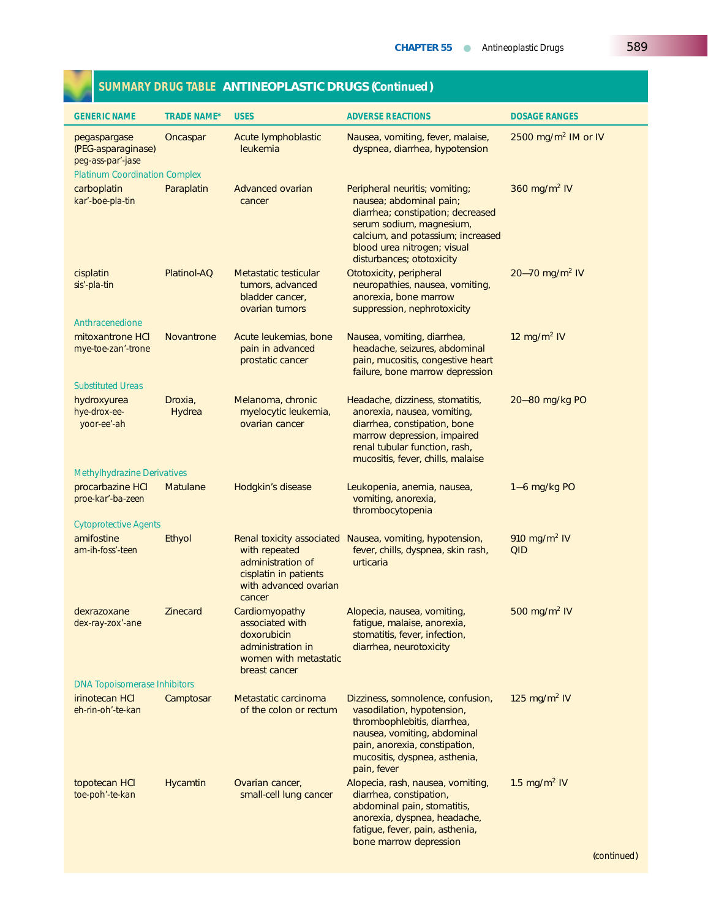| <b>GENERIC NAME</b>                                     | <b>TRADE NAME*</b> | <b>USES</b>                                                                                                                 | <b>ADVERSE REACTIONS</b>                                                                                                                                                                                                    | <b>DOSAGE RANGES</b>            |
|---------------------------------------------------------|--------------------|-----------------------------------------------------------------------------------------------------------------------------|-----------------------------------------------------------------------------------------------------------------------------------------------------------------------------------------------------------------------------|---------------------------------|
| pegaspargase<br>(PEG-asparaginase)<br>peg-ass-par'-jase | Oncaspar           | Acute lymphoblastic<br>leukemia                                                                                             | Nausea, vomiting, fever, malaise,<br>dyspnea, diarrhea, hypotension                                                                                                                                                         | 2500 mg/m <sup>2</sup> IM or IV |
| <b>Platinum Coordination Complex</b>                    |                    |                                                                                                                             |                                                                                                                                                                                                                             |                                 |
| carboplatin<br>kar'-boe-pla-tin                         | Paraplatin         | Advanced ovarian<br>cancer                                                                                                  | Peripheral neuritis; vomiting;<br>nausea; abdominal pain;<br>diarrhea; constipation; decreased<br>serum sodium, magnesium,<br>calcium, and potassium; increased<br>blood urea nitrogen; visual<br>disturbances; ototoxicity | 360 mg/m <sup>2</sup> IV        |
| cisplatin<br>sis'-pla-tin<br>Anthracenedione            | Platinol-AQ        | Metastatic testicular<br>tumors, advanced<br>bladder cancer,<br>ovarian tumors                                              | Ototoxicity, peripheral<br>neuropathies, nausea, vomiting,<br>anorexia, bone marrow<br>suppression, nephrotoxicity                                                                                                          | 20-70 mg/m <sup>2</sup> IV      |
| mitoxantrone HCI<br>mye-toe-zan'-trone                  | <b>Novantrone</b>  | Acute leukemias, bone<br>pain in advanced<br>prostatic cancer                                                               | Nausea, vomiting, diarrhea,<br>headache, seizures, abdominal<br>pain, mucositis, congestive heart<br>failure, bone marrow depression                                                                                        | 12 mg/m <sup>2</sup> IV         |
|                                                         |                    |                                                                                                                             |                                                                                                                                                                                                                             |                                 |
| <b>Substituted Ureas</b><br>hydroxyurea<br>hye-drox-ee- | Droxia,<br>Hydrea  | Melanoma, chronic<br>myelocytic leukemia,                                                                                   | Headache, dizziness, stomatitis,<br>anorexia, nausea, vomiting,                                                                                                                                                             | 20-80 mg/kg PO                  |
| yoor-ee'-ah                                             |                    | ovarian cancer                                                                                                              | diarrhea, constipation, bone<br>marrow depression, impaired<br>renal tubular function, rash,<br>mucositis, fever, chills, malaise                                                                                           |                                 |
| <b>Methylhydrazine Derivatives</b>                      |                    |                                                                                                                             |                                                                                                                                                                                                                             |                                 |
| procarbazine HCI<br>proe-kar'-ba-zeen                   | <b>Matulane</b>    | Hodgkin's disease                                                                                                           | Leukopenia, anemia, nausea,<br>vomiting, anorexia,<br>thrombocytopenia                                                                                                                                                      | $1-6$ mg/kg PO                  |
| <b>Cytoprotective Agents</b>                            |                    |                                                                                                                             |                                                                                                                                                                                                                             |                                 |
| amifostine<br>am-ih-foss'-teen                          | <b>Ethyol</b>      | Renal toxicity associated<br>with repeated<br>administration of<br>cisplatin in patients<br>with advanced ovarian<br>cancer | Nausea, vomiting, hypotension,<br>fever, chills, dyspnea, skin rash,<br>urticaria                                                                                                                                           | 910 mg/m <sup>2</sup> IV<br>QID |
| dexrazoxane<br>dex-ray-zox'-ane                         | <b>Zinecard</b>    | Cardiomyopathy<br>associated with<br>doxorubicin<br>administration in<br>women with metastatic<br>breast cancer             | Alopecia, nausea, vomiting,<br>fatigue, malaise, anorexia,<br>stomatitis, fever, infection,<br>diarrhea, neurotoxicity                                                                                                      | 500 mg/m <sup>2</sup> IV        |
| <b>DNA Topoisomerase Inhibitors</b>                     |                    |                                                                                                                             |                                                                                                                                                                                                                             |                                 |
| <b>irinotecan HCI</b>                                   | Camptosar          | Metastatic carcinoma                                                                                                        | Dizziness, somnolence, confusion,                                                                                                                                                                                           | 125 mg/m <sup>2</sup> IV        |
| eh-rin-oh'-te-kan                                       |                    | of the colon or rectum                                                                                                      | vasodilation, hypotension,<br>thrombophlebitis, diarrhea,<br>nausea, vomiting, abdominal<br>pain, anorexia, constipation,<br>mucositis, dyspnea, asthenia,<br>pain, fever                                                   |                                 |
| topotecan HCI<br>toe-poh'-te-kan                        | Hycamtin           | Ovarian cancer,<br>small-cell lung cancer                                                                                   | Alopecia, rash, nausea, vomiting,<br>diarrhea, constipation,<br>abdominal pain, stomatitis,<br>anorexia, dyspnea, headache,<br>fatigue, fever, pain, asthenia,<br>bone marrow depression                                    | 1.5 mg/m <sup>2</sup> IV        |

(*continued*)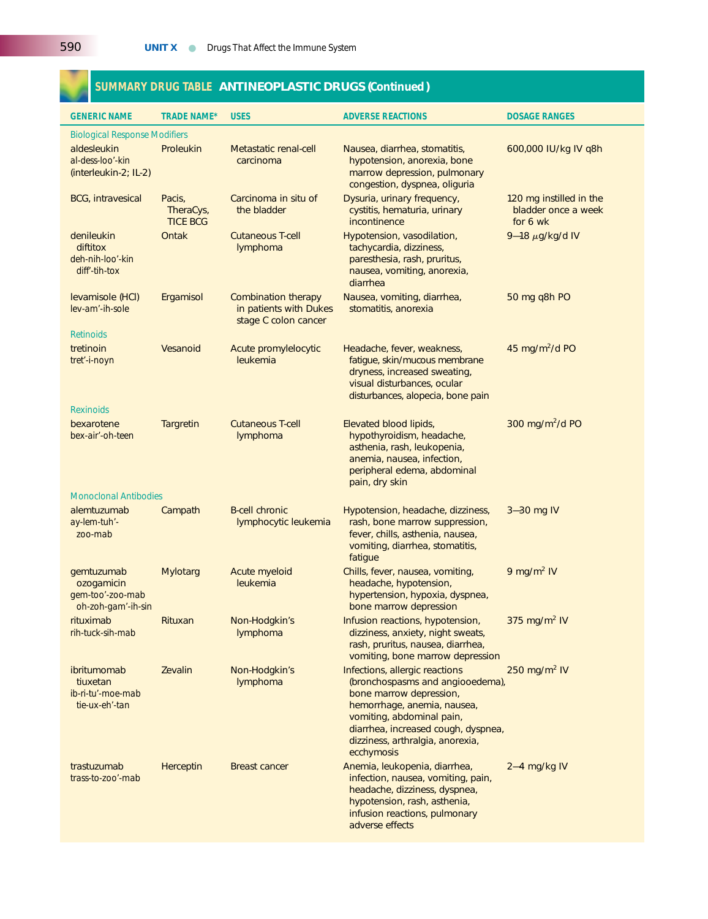| <b>GENERIC NAME</b>                                                | <b>TRADE NAME*</b>                     | <b>USES</b>                                                                  | <b>ADVERSE REACTIONS</b>                                                                                                                                                                                                                           | <b>DOSAGE RANGES</b>                                       |
|--------------------------------------------------------------------|----------------------------------------|------------------------------------------------------------------------------|----------------------------------------------------------------------------------------------------------------------------------------------------------------------------------------------------------------------------------------------------|------------------------------------------------------------|
| <b>Biological Response Modifiers</b>                               |                                        |                                                                              |                                                                                                                                                                                                                                                    |                                                            |
| aldesleukin<br>al-dess-loo'-kin<br>(interleukin-2; IL-2)           | Proleukin                              | Metastatic renal-cell<br>carcinoma                                           | Nausea, diarrhea, stomatitis,<br>hypotension, anorexia, bone<br>marrow depression, pulmonary<br>congestion, dyspnea, oliguria                                                                                                                      | 600,000 IU/kg IV q8h                                       |
| <b>BCG, intravesical</b>                                           | Pacis,<br>TheraCys,<br><b>TICE BCG</b> | Carcinoma in situ of<br>the bladder                                          | Dysuria, urinary frequency,<br>cystitis, hematuria, urinary<br>incontinence                                                                                                                                                                        | 120 mg instilled in the<br>bladder once a week<br>for 6 wk |
| denileukin<br>diftitox<br>deh-nih-loo'-kin<br>diff'-tih-tox        | Ontak                                  | <b>Cutaneous T-cell</b><br>lymphoma                                          | Hypotension, vasodilation,<br>tachycardia, dizziness,<br>paresthesia, rash, pruritus,<br>nausea, vomiting, anorexia,<br>diarrhea                                                                                                                   | 9-18 $\mu$ g/kg/d IV                                       |
| levamisole (HCI)<br>lev-am'-ih-sole                                | Ergamisol                              | <b>Combination therapy</b><br>in patients with Dukes<br>stage C colon cancer | Nausea, vomiting, diarrhea,<br>stomatitis, anorexia                                                                                                                                                                                                | 50 mg q8h PO                                               |
| <b>Retinoids</b>                                                   |                                        |                                                                              |                                                                                                                                                                                                                                                    |                                                            |
| tretinoin<br>tret'-i-noyn                                          | Vesanoid                               | Acute promylelocytic<br>leukemia                                             | Headache, fever, weakness,<br>fatigue, skin/mucous membrane<br>dryness, increased sweating,<br>visual disturbances, ocular<br>disturbances, alopecia, bone pain                                                                                    | 45 mg/m $^2$ /d PO                                         |
| <b>Rexinoids</b>                                                   |                                        |                                                                              |                                                                                                                                                                                                                                                    |                                                            |
| bexarotene<br>bex-air'-oh-teen                                     | <b>Targretin</b>                       | <b>Cutaneous T-cell</b><br>lymphoma                                          | Elevated blood lipids,<br>hypothyroidism, headache,<br>asthenia, rash, leukopenia,<br>anemia, nausea, infection,<br>peripheral edema, abdominal<br>pain, dry skin                                                                                  | 300 mg/m <sup>2</sup> /d PO                                |
| <b>Monoclonal Antibodies</b>                                       |                                        |                                                                              |                                                                                                                                                                                                                                                    |                                                            |
| alemtuzumab<br>ay-lem-tuh'-<br>zoo-mab                             | Campath                                | <b>B-cell chronic</b><br>lymphocytic leukemia                                | Hypotension, headache, dizziness,<br>rash, bone marrow suppression,<br>fever, chills, asthenia, nausea,<br>vomiting, diarrhea, stomatitis,<br>fatigue                                                                                              | 3-30 mg IV                                                 |
| gemtuzumab<br>ozogamicin<br>gem-too'-zoo-mab<br>oh-zoh-gam'-ih-sin | <b>Mylotarg</b>                        | Acute myeloid<br>leukemia                                                    | Chills, fever, nausea, vomiting,<br>headache, hypotension,<br>hypertension, hypoxia, dyspnea,<br>bone marrow depression                                                                                                                            | 9 mg/m <sup>2</sup> IV                                     |
| rituximab<br>rih-tuck-sih-mab                                      | Rituxan                                | Non-Hodakin's<br>lymphoma                                                    | Infusion reactions, hypotension,<br>dizziness, anxiety, night sweats,<br>rash, pruritus, nausea, diarrhea,<br>vomiting, bone marrow depression                                                                                                     | $375 \text{ mg/m}^2$ IV                                    |
| ibritumomab<br>tiuxetan<br>ib-ri-tu'-moe-mab<br>tie-ux-eh'-tan     | Zevalin                                | Non-Hodgkin's<br>lymphoma                                                    | Infections, allergic reactions<br>(bronchospasms and angiooedema),<br>bone marrow depression,<br>hemorrhage, anemia, nausea,<br>vomiting, abdominal pain,<br>diarrhea, increased cough, dyspnea,<br>dizziness, arthralgia, anorexia,<br>ecchymosis | 250 mg/m <sup>2</sup> IV                                   |
| trastuzumab<br>trass-to-zoo'-mab                                   | Herceptin                              | <b>Breast cancer</b>                                                         | Anemia, leukopenia, diarrhea,<br>infection, nausea, vomiting, pain,<br>headache, dizziness, dyspnea,<br>hypotension, rash, asthenia,<br>infusion reactions, pulmonary<br>adverse effects                                                           | $2-4$ mg/kg IV                                             |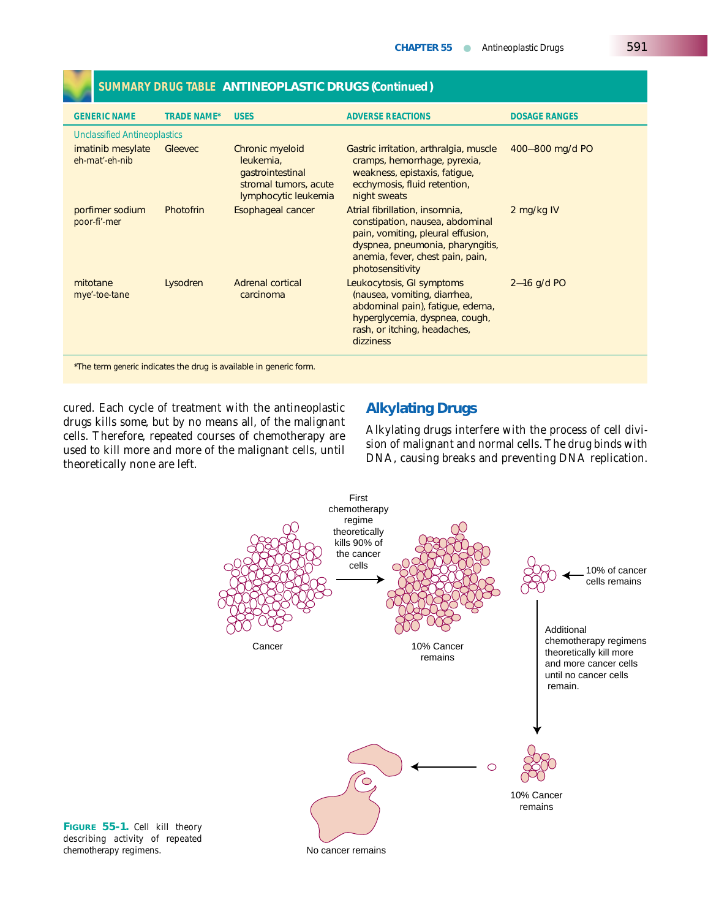| <b>GENERIC NAME</b>                                                      | <b>TRADE NAME*</b> | <b>USES</b>                                                                                       | <b>ADVERSE REACTIONS</b>                                                                                                                                                                           | <b>DOSAGE RANGES</b> |
|--------------------------------------------------------------------------|--------------------|---------------------------------------------------------------------------------------------------|----------------------------------------------------------------------------------------------------------------------------------------------------------------------------------------------------|----------------------|
| <b>Unclassified Antineoplastics</b>                                      |                    |                                                                                                   |                                                                                                                                                                                                    |                      |
| imatinib mesylate<br>eh-mat'-eh-nib                                      | Gleevec            | Chronic myeloid<br>leukemia,<br>gastrointestinal<br>stromal tumors, acute<br>lymphocytic leukemia | Gastric irritation, arthralgia, muscle<br>cramps, hemorrhage, pyrexia,<br>weakness, epistaxis, fatique,<br>ecchymosis, fluid retention,<br>night sweats                                            | 400-800 mg/d PO      |
| porfimer sodium<br>poor-fi'-mer                                          | Photofrin          | Esophageal cancer                                                                                 | Atrial fibrillation, insomnia,<br>constipation, nausea, abdominal<br>pain, vomiting, pleural effusion,<br>dyspnea, pneumonia, pharyngitis,<br>anemia, fever, chest pain, pain,<br>photosensitivity | 2 mg/kg IV           |
| mitotane<br>mye'-toe-tane                                                | Lysodren           | <b>Adrenal cortical</b><br>carcinoma                                                              | Leukocytosis, GI symptoms<br>(nausea, vomiting, diarrhea,<br>abdominal pain), fatique, edema,<br>hyperglycemia, dyspnea, cough,<br>rash, or itching, headaches,<br>dizziness                       | $2-16$ g/d PO        |
| *The term <i>generic</i> indicates the drug is available in generic form |                    |                                                                                                   |                                                                                                                                                                                                    |                      |

\*The term *generic* indicates the drug is available in generic form.

cured. Each cycle of treatment with the antineoplastic drugs kills some, but by no means all, of the malignant cells. Therefore, repeated courses of chemotherapy are used to kill more and more of the malignant cells, until theoretically none are left.

## **Alkylating Drugs**

Alkylating drugs interfere with the process of cell division of malignant and normal cells. The drug binds with DNA, causing breaks and preventing DNA replication.



**FIGURE 55-1.** Cell kill theory describing activity of repeated chemotherapy regimens.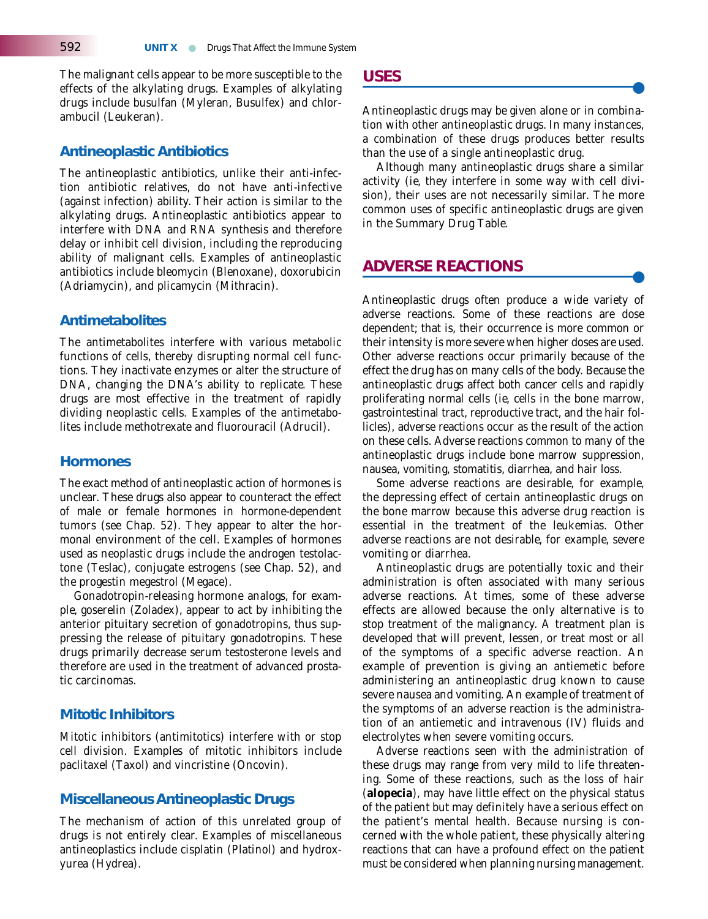The malignant cells appear to be more susceptible to the effects of the alkylating drugs. Examples of alkylating drugs include busulfan (Myleran, Busulfex) and chlorambucil (Leukeran).

#### **Antineoplastic Antibiotics**

The antineoplastic antibiotics, unlike their anti-infection antibiotic relatives, do not have anti-infective (against infection) ability. Their action is similar to the alkylating drugs. Antineoplastic antibiotics appear to interfere with DNA and RNA synthesis and therefore delay or inhibit cell division, including the reproducing ability of malignant cells. Examples of antineoplastic antibiotics include bleomycin (Blenoxane), doxorubicin (Adriamycin), and plicamycin (Mithracin).

## **Antimetabolites**

The antimetabolites interfere with various metabolic functions of cells, thereby disrupting normal cell functions. They inactivate enzymes or alter the structure of DNA, changing the DNA's ability to replicate. These drugs are most effective in the treatment of rapidly dividing neoplastic cells. Examples of the antimetabolites include methotrexate and fluorouracil (Adrucil).

## **Hormones**

The exact method of antineoplastic action of hormones is unclear. These drugs also appear to counteract the effect of male or female hormones in hormone-dependent tumors (see Chap. 52). They appear to alter the hormonal environment of the cell. Examples of hormones used as neoplastic drugs include the androgen testolactone (Teslac), conjugate estrogens (see Chap. 52), and the progestin megestrol (Megace).

Gonadotropin-releasing hormone analogs, for example, goserelin (Zoladex), appear to act by inhibiting the anterior pituitary secretion of gonadotropins, thus suppressing the release of pituitary gonadotropins. These drugs primarily decrease serum testosterone levels and therefore are used in the treatment of advanced prostatic carcinomas.

## **Mitotic Inhibitors**

Mitotic inhibitors (antimitotics) interfere with or stop cell division. Examples of mitotic inhibitors include paclitaxel (Taxol) and vincristine (Oncovin).

## **Miscellaneous Antineoplastic Drugs**

The mechanism of action of this unrelated group of drugs is not entirely clear. Examples of miscellaneous antineoplastics include cisplatin (Platinol) and hydroxyurea (Hydrea).

# **USES** ●

Antineoplastic drugs may be given alone or in combination with other antineoplastic drugs. In many instances, a combination of these drugs produces better results than the use of a single antineoplastic drug.

Although many antineoplastic drugs share a similar activity (ie, they interfere in some way with cell division), their uses are not necessarily similar. The more common uses of specific antineoplastic drugs are given in the Summary Drug Table.

## **ADVERSE REACTIONS** ●

Antineoplastic drugs often produce a wide variety of adverse reactions. Some of these reactions are dose dependent; that is, their occurrence is more common or their intensity is more severe when higher doses are used. Other adverse reactions occur primarily because of the effect the drug has on many cells of the body. Because the antineoplastic drugs affect both cancer cells and rapidly proliferating normal cells (ie, cells in the bone marrow, gastrointestinal tract, reproductive tract, and the hair follicles), adverse reactions occur as the result of the action on these cells. Adverse reactions common to many of the antineoplastic drugs include bone marrow suppression, nausea, vomiting, stomatitis, diarrhea, and hair loss.

Some adverse reactions are desirable, for example, the depressing effect of certain antineoplastic drugs on the bone marrow because this adverse drug reaction is essential in the treatment of the leukemias. Other adverse reactions are not desirable, for example, severe vomiting or diarrhea.

Antineoplastic drugs are potentially toxic and their administration is often associated with many serious adverse reactions. At times, some of these adverse effects are allowed because the only alternative is to stop treatment of the malignancy. A treatment plan is developed that will prevent, lessen, or treat most or all of the symptoms of a specific adverse reaction. An example of prevention is giving an antiemetic before administering an antineoplastic drug known to cause severe nausea and vomiting. An example of treatment of the symptoms of an adverse reaction is the administration of an antiemetic and intravenous (IV) fluids and electrolytes when severe vomiting occurs.

Adverse reactions seen with the administration of these drugs may range from very mild to life threatening. Some of these reactions, such as the loss of hair (**alopecia**), may have little effect on the physical status of the patient but may definitely have a serious effect on the patient's mental health. Because nursing is concerned with the whole patient, these physically altering reactions that can have a profound effect on the patient must be considered when planning nursing management.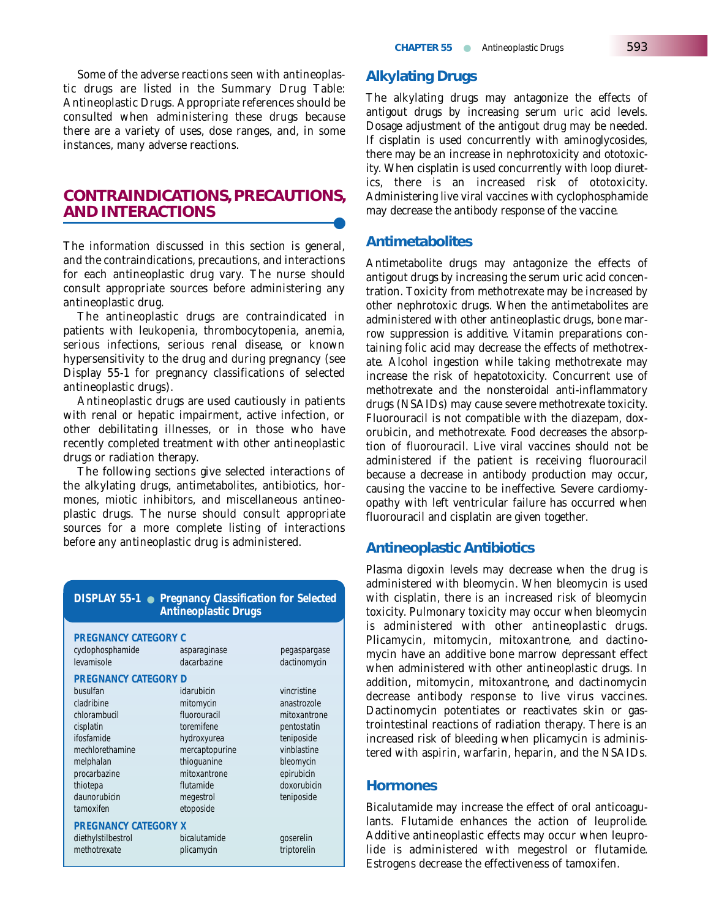Some of the adverse reactions seen with antineoplastic drugs are listed in the Summary Drug Table: Antineoplastic Drugs. Appropriate references should be consulted when administering these drugs because there are a variety of uses, dose ranges, and, in some instances, many adverse reactions.

## **CONTRAINDICATIONS, PRECAUTIONS, AND INTERACTIONS**

The information discussed in this section is general, and the contraindications, precautions, and interactions for each antineoplastic drug vary. The nurse should consult appropriate sources before administering any antineoplastic drug.

The antineoplastic drugs are contraindicated in patients with leukopenia, thrombocytopenia, anemia, serious infections, serious renal disease, or known hypersensitivity to the drug and during pregnancy (see Display 55-1 for pregnancy classifications of selected antineoplastic drugs).

Antineoplastic drugs are used cautiously in patients with renal or hepatic impairment, active infection, or other debilitating illnesses, or in those who have recently completed treatment with other antineoplastic drugs or radiation therapy.

The following sections give selected interactions of the alkylating drugs, antimetabolites, antibiotics, hormones, miotic inhibitors, and miscellaneous antineoplastic drugs. The nurse should consult appropriate sources for a more complete listing of interactions before any antineoplastic drug is administered.

| <b>DISPLAY 55-1 • Pregnancy Classification for Selected</b>                                                                                                | <b>Antineoplastic Drugs</b>                                                                                                                                  |                                                                                                                                                |
|------------------------------------------------------------------------------------------------------------------------------------------------------------|--------------------------------------------------------------------------------------------------------------------------------------------------------------|------------------------------------------------------------------------------------------------------------------------------------------------|
| <b>PREGNANCY CATEGORY C</b><br>cyclophosphamide<br>levamisole<br><b>PREGNANCY CATEGORY D</b>                                                               | asparaginase<br>dacarbazine                                                                                                                                  | pegaspargase<br>dactinomycin                                                                                                                   |
| husulfan<br>cladribine<br>chlorambucil<br>cisplatin<br>ifosfamide<br>mechlorethamine<br>melphalan<br>procarbazine<br>thiotepa<br>daunorubicin<br>tamoxifen | idarubicin<br>mitomycin<br>fluorouracil<br>toremifene<br>hydroxyurea<br>mercaptopurine<br>thioquanine<br>mitoxantrone<br>flutamide<br>megestrol<br>etoposide | vincristine<br>anastrozole<br>mitoxantrone<br>pentostatin<br>teniposide<br>vinblastine<br>bleomycin<br>epirubicin<br>doxorubicin<br>teniposide |
| <b>PREGNANCY CATEGORY X</b><br>diethylstilbestrol<br>methotrexate                                                                                          | bicalutamide<br>plicamycin                                                                                                                                   | goserelin<br>triptorelin                                                                                                                       |

## **Alkylating Drugs**

The alkylating drugs may antagonize the effects of antigout drugs by increasing serum uric acid levels. Dosage adjustment of the antigout drug may be needed. If cisplatin is used concurrently with aminoglycosides, there may be an increase in nephrotoxicity and ototoxicity. When cisplatin is used concurrently with loop diuretics, there is an increased risk of ototoxicity. Administering live viral vaccines with cyclophosphamide may decrease the antibody response of the vaccine.

## **Antimetabolites**

Antimetabolite drugs may antagonize the effects of antigout drugs by increasing the serum uric acid concentration. Toxicity from methotrexate may be increased by other nephrotoxic drugs. When the antimetabolites are administered with other antineoplastic drugs, bone marrow suppression is additive. Vitamin preparations containing folic acid may decrease the effects of methotrexate. Alcohol ingestion while taking methotrexate may increase the risk of hepatotoxicity. Concurrent use of methotrexate and the nonsteroidal anti-inflammatory drugs (NSAIDs) may cause severe methotrexate toxicity. Fluorouracil is not compatible with the diazepam, doxorubicin, and methotrexate. Food decreases the absorption of fluorouracil. Live viral vaccines should not be administered if the patient is receiving fluorouracil because a decrease in antibody production may occur, causing the vaccine to be ineffective. Severe cardiomyopathy with left ventricular failure has occurred when fluorouracil and cisplatin are given together.

## **Antineoplastic Antibiotics**

Plasma digoxin levels may decrease when the drug is administered with bleomycin. When bleomycin is used with cisplatin, there is an increased risk of bleomycin toxicity. Pulmonary toxicity may occur when bleomycin is administered with other antineoplastic drugs. Plicamycin, mitomycin, mitoxantrone, and dactinomycin have an additive bone marrow depressant effect when administered with other antineoplastic drugs. In addition, mitomycin, mitoxantrone, and dactinomycin decrease antibody response to live virus vaccines. Dactinomycin potentiates or reactivates skin or gastrointestinal reactions of radiation therapy. There is an increased risk of bleeding when plicamycin is administered with aspirin, warfarin, heparin, and the NSAIDs.

## **Hormones**

Bicalutamide may increase the effect of oral anticoagulants. Flutamide enhances the action of leuprolide. Additive antineoplastic effects may occur when leuprolide is administered with megestrol or flutamide. Estrogens decrease the effectiveness of tamoxifen.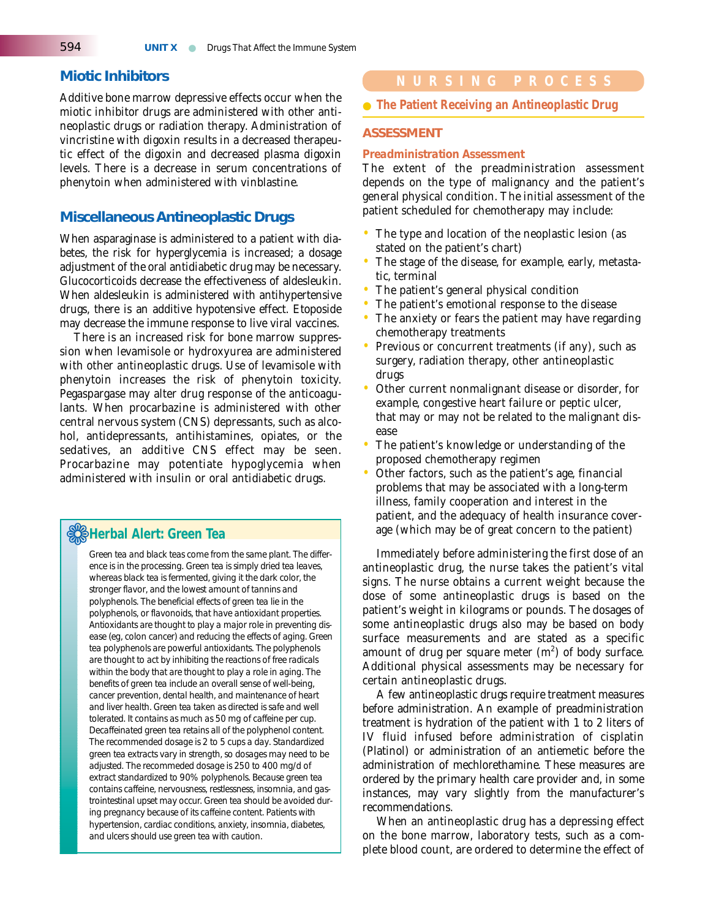## **Miotic Inhibitors**

Additive bone marrow depressive effects occur when the miotic inhibitor drugs are administered with other antineoplastic drugs or radiation therapy. Administration of vincristine with digoxin results in a decreased therapeutic effect of the digoxin and decreased plasma digoxin levels. There is a decrease in serum concentrations of phenytoin when administered with vinblastine.

## **Miscellaneous Antineoplastic Drugs**

When asparaginase is administered to a patient with diabetes, the risk for hyperglycemia is increased; a dosage adjustment of the oral antidiabetic drug may be necessary. Glucocorticoids decrease the effectiveness of aldesleukin. When aldesleukin is administered with antihypertensive drugs, there is an additive hypotensive effect. Etoposide may decrease the immune response to live viral vaccines.

There is an increased risk for bone marrow suppression when levamisole or hydroxyurea are administered with other antineoplastic drugs. Use of levamisole with phenytoin increases the risk of phenytoin toxicity. Pegaspargase may alter drug response of the anticoagulants. When procarbazine is administered with other central nervous system (CNS) depressants, such as alcohol, antidepressants, antihistamines, opiates, or the sedatives, an additive CNS effect may be seen. Procarbazine may potentiate hypoglycemia when administered with insulin or oral antidiabetic drugs.

## **SCHER ALERT: Green Tea**

*Green tea and black teas come from the same plant. The difference is in the processing. Green tea is simply dried tea leaves, whereas black tea is fermented, giving it the dark color, the stronger flavor, and the lowest amount of tannins and polyphenols. The beneficial effects of green tea lie in the polyphenols, or flavonoids, that have antioxidant properties. Antioxidants are thought to play a major role in preventing disease (eg, colon cancer) and reducing the effects of aging. Green tea polyphenols are powerful antioxidants. The polyphenols are thought to act by inhibiting the reactions of free radicals within the body that are thought to play a role in aging. The benefits of green tea include an overall sense of well-being, cancer prevention, dental health, and maintenance of heart and liver health. Green tea taken as directed is safe and well tolerated. It contains as much as 50 mg of caffeine per cup. Decaffeinated green tea retains all of the polyphenol content. The recommended dosage is 2 to 5 cups a day. Standardized green tea extracts vary in strength, so dosages may need to be adjusted. The recommeded dosage is 250 to 400 mg/d of extract standardized to 90% polyphenols. Because green tea contains caffeine, nervousness, restlessness, insomnia, and gastrointestinal upset may occur. Green tea should be avoided during pregnancy because of its caffeine content. Patients with hypertension, cardiac conditions, anxiety, insomnia, diabetes, and ulcers should use green tea with caution.* 

● **The Patient Receiving an Antineoplastic Drug**

### **ASSESSMENT**

#### *Preadministration Assessment*

The extent of the preadministration assessment depends on the type of malignancy and the patient's general physical condition. The initial assessment of the patient scheduled for chemotherapy may include:

- The type and location of the neoplastic lesion (as stated on the patient's chart)
- The stage of the disease, for example, early, metastatic, terminal
- The patient's general physical condition
- The patient's emotional response to the disease
- The anxiety or fears the patient may have regarding chemotherapy treatments
- Previous or concurrent treatments (if any), such as surgery, radiation therapy, other antineoplastic drugs
- Other current nonmalignant disease or disorder, for example, congestive heart failure or peptic ulcer, that may or may not be related to the malignant disease
- The patient's knowledge or understanding of the proposed chemotherapy regimen
- Other factors, such as the patient's age, financial problems that may be associated with a long-term illness, family cooperation and interest in the patient, and the adequacy of health insurance coverage (which may be of great concern to the patient)

Immediately before administering the first dose of an antineoplastic drug, the nurse takes the patient's vital signs. The nurse obtains a current weight because the dose of some antineoplastic drugs is based on the patient's weight in kilograms or pounds. The dosages of some antineoplastic drugs also may be based on body surface measurements and are stated as a specific amount of drug per square meter  $(m<sup>2</sup>)$  of body surface. Additional physical assessments may be necessary for certain antineoplastic drugs.

A few antineoplastic drugs require treatment measures before administration. An example of preadministration treatment is hydration of the patient with 1 to 2 liters of IV fluid infused before administration of cisplatin (Platinol) or administration of an antiemetic before the administration of mechlorethamine. These measures are ordered by the primary health care provider and, in some instances, may vary slightly from the manufacturer's recommendations.

When an antineoplastic drug has a depressing effect on the bone marrow, laboratory tests, such as a complete blood count, are ordered to determine the effect of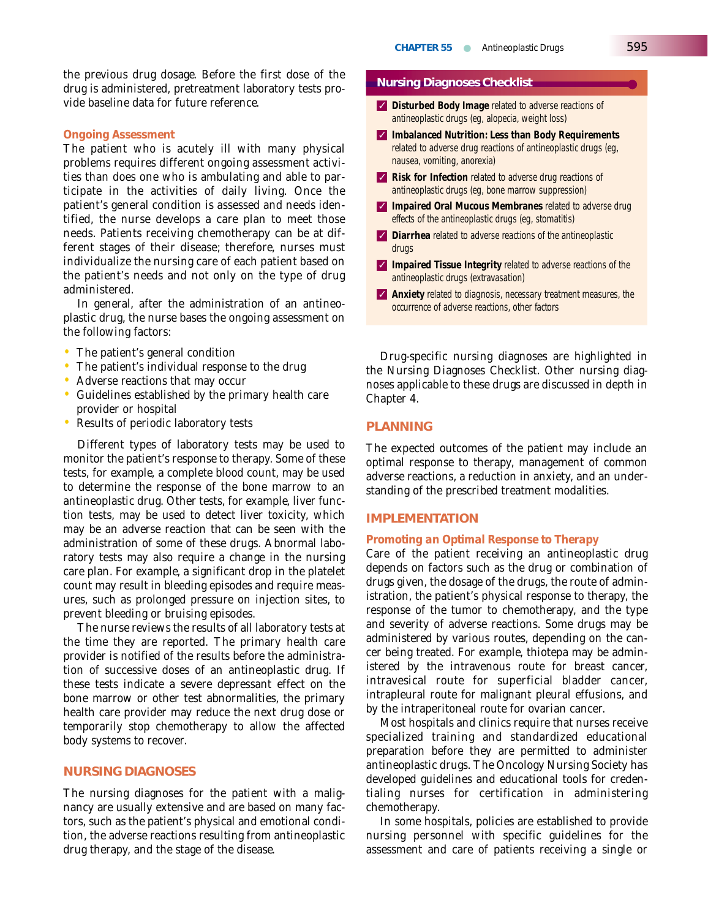the previous drug dosage. Before the first dose of the drug is administered, pretreatment laboratory tests provide baseline data for future reference.

#### *Ongoing Assessment*

The patient who is acutely ill with many physical problems requires different ongoing assessment activities than does one who is ambulating and able to participate in the activities of daily living. Once the patient's general condition is assessed and needs identified, the nurse develops a care plan to meet those needs. Patients receiving chemotherapy can be at different stages of their disease; therefore, nurses must individualize the nursing care of each patient based on the patient's needs and not only on the type of drug administered.

In general, after the administration of an antineoplastic drug, the nurse bases the ongoing assessment on the following factors:

- The patient's general condition
- The patient's individual response to the drug
- Adverse reactions that may occur
- Guidelines established by the primary health care provider or hospital
- Results of periodic laboratory tests

Different types of laboratory tests may be used to monitor the patient's response to therapy. Some of these tests, for example, a complete blood count, may be used to determine the response of the bone marrow to an antineoplastic drug. Other tests, for example, liver function tests, may be used to detect liver toxicity, which may be an adverse reaction that can be seen with the administration of some of these drugs. Abnormal laboratory tests may also require a change in the nursing care plan. For example, a significant drop in the platelet count may result in bleeding episodes and require measures, such as prolonged pressure on injection sites, to prevent bleeding or bruising episodes.

The nurse reviews the results of all laboratory tests at the time they are reported. The primary health care provider is notified of the results before the administration of successive doses of an antineoplastic drug. If these tests indicate a severe depressant effect on the bone marrow or other test abnormalities, the primary health care provider may reduce the next drug dose or temporarily stop chemotherapy to allow the affected body systems to recover.

## **NURSING DIAGNOSES**

The nursing diagnoses for the patient with a malignancy are usually extensive and are based on many factors, such as the patient's physical and emotional condition, the adverse reactions resulting from antineoplastic drug therapy, and the stage of the disease.

#### **Nursing Diagnoses Checklist**

- ✓ **Disturbed Body Image** related to adverse reactions of antineoplastic drugs (eg, alopecia, weight loss)
- ✓ **Imbalanced Nutrition: Less than Body Requirements** related to adverse drug reactions of antineoplastic drugs (eg, nausea, vomiting, anorexia)
- ✓ **Risk for Infection** related to adverse drug reactions of antineoplastic drugs (eg, bone marrow suppression)
- ✓ **Impaired Oral Mucous Membranes** related to adverse drug effects of the antineoplastic drugs (eg, stomatitis)
- ✓ **Diarrhea** related to adverse reactions of the antineoplastic drugs
- ✓ **Impaired Tissue Integrity** related to adverse reactions of the antineoplastic drugs (extravasation)
- ✓ **Anxiety** related to diagnosis, necessary treatment measures, the occurrence of adverse reactions, other factors

Drug-specific nursing diagnoses are highlighted in the Nursing Diagnoses Checklist. Other nursing diagnoses applicable to these drugs are discussed in depth in Chapter 4.

## **PLANNING**

The expected outcomes of the patient may include an optimal response to therapy, management of common adverse reactions, a reduction in anxiety, and an understanding of the prescribed treatment modalities.

## **IMPLEMENTATION**

## *Promoting an Optimal Response to Therapy*

Care of the patient receiving an antineoplastic drug depends on factors such as the drug or combination of drugs given, the dosage of the drugs, the route of administration, the patient's physical response to therapy, the response of the tumor to chemotherapy, and the type and severity of adverse reactions. Some drugs may be administered by various routes, depending on the cancer being treated. For example, thiotepa may be administered by the intravenous route for breast cancer, intravesical route for superficial bladder cancer, intrapleural route for malignant pleural effusions, and by the intraperitoneal route for ovarian cancer.

Most hospitals and clinics require that nurses receive specialized training and standardized educational preparation before they are permitted to administer antineoplastic drugs. The Oncology Nursing Society has developed guidelines and educational tools for credentialing nurses for certification in administering chemotherapy.

In some hospitals, policies are established to provide nursing personnel with specific guidelines for the assessment and care of patients receiving a single or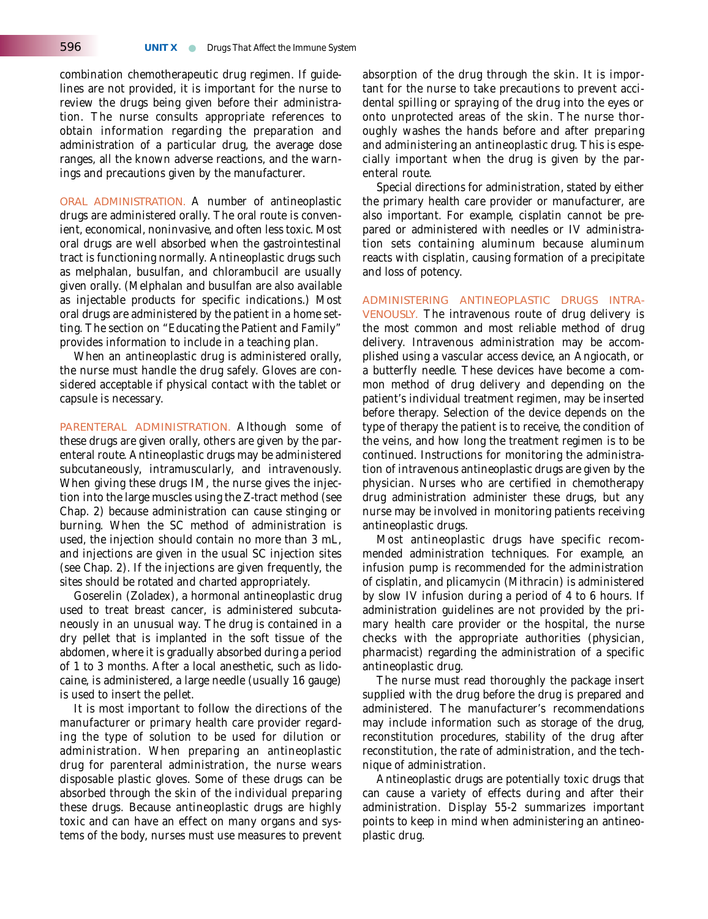combination chemotherapeutic drug regimen. If guidelines are not provided, it is important for the nurse to review the drugs being given before their administration. The nurse consults appropriate references to obtain information regarding the preparation and administration of a particular drug, the average dose ranges, all the known adverse reactions, and the warnings and precautions given by the manufacturer.

ORAL ADMINISTRATION. A number of antineoplastic drugs are administered orally. The oral route is convenient, economical, noninvasive, and often less toxic. Most oral drugs are well absorbed when the gastrointestinal tract is functioning normally. Antineoplastic drugs such as melphalan, busulfan, and chlorambucil are usually given orally. (Melphalan and busulfan are also available as injectable products for specific indications.) Most oral drugs are administered by the patient in a home setting. The section on "Educating the Patient and Family" provides information to include in a teaching plan.

When an antineoplastic drug is administered orally, the nurse must handle the drug safely. Gloves are considered acceptable if physical contact with the tablet or capsule is necessary.

PARENTERAL ADMINISTRATION. Although some of these drugs are given orally, others are given by the parenteral route. Antineoplastic drugs may be administered subcutaneously, intramuscularly, and intravenously. When giving these drugs IM, the nurse gives the injection into the large muscles using the Z-tract method (see Chap. 2) because administration can cause stinging or burning. When the SC method of administration is used, the injection should contain no more than 3 mL, and injections are given in the usual SC injection sites (see Chap. 2). If the injections are given frequently, the sites should be rotated and charted appropriately.

Goserelin (Zoladex), a hormonal antineoplastic drug used to treat breast cancer, is administered subcutaneously in an unusual way. The drug is contained in a dry pellet that is implanted in the soft tissue of the abdomen, where it is gradually absorbed during a period of 1 to 3 months. After a local anesthetic, such as lidocaine, is administered, a large needle (usually 16 gauge) is used to insert the pellet.

It is most important to follow the directions of the manufacturer or primary health care provider regarding the type of solution to be used for dilution or administration. When preparing an antineoplastic drug for parenteral administration, the nurse wears disposable plastic gloves. Some of these drugs can be absorbed through the skin of the individual preparing these drugs. Because antineoplastic drugs are highly toxic and can have an effect on many organs and systems of the body, nurses must use measures to prevent absorption of the drug through the skin. It is important for the nurse to take precautions to prevent accidental spilling or spraying of the drug into the eyes or onto unprotected areas of the skin. The nurse thoroughly washes the hands before and after preparing and administering an antineoplastic drug. This is especially important when the drug is given by the parenteral route.

Special directions for administration, stated by either the primary health care provider or manufacturer, are also important. For example, cisplatin cannot be prepared or administered with needles or IV administration sets containing aluminum because aluminum reacts with cisplatin, causing formation of a precipitate and loss of potency.

ADMINISTERING ANTINEOPLASTIC DRUGS INTRA-VENOUSLY. The intravenous route of drug delivery is the most common and most reliable method of drug delivery. Intravenous administration may be accomplished using a vascular access device, an Angiocath, or a butterfly needle. These devices have become a common method of drug delivery and depending on the patient's individual treatment regimen, may be inserted before therapy. Selection of the device depends on the type of therapy the patient is to receive, the condition of the veins, and how long the treatment regimen is to be continued. Instructions for monitoring the administration of intravenous antineoplastic drugs are given by the physician. Nurses who are certified in chemotherapy drug administration administer these drugs, but any nurse may be involved in monitoring patients receiving antineoplastic drugs.

Most antineoplastic drugs have specific recommended administration techniques. For example, an infusion pump is recommended for the administration of cisplatin, and plicamycin (Mithracin) is administered by slow IV infusion during a period of 4 to 6 hours. If administration guidelines are not provided by the primary health care provider or the hospital, the nurse checks with the appropriate authorities (physician, pharmacist) regarding the administration of a specific antineoplastic drug.

The nurse must read thoroughly the package insert supplied with the drug before the drug is prepared and administered. The manufacturer's recommendations may include information such as storage of the drug, reconstitution procedures, stability of the drug after reconstitution, the rate of administration, and the technique of administration.

Antineoplastic drugs are potentially toxic drugs that can cause a variety of effects during and after their administration. Display 55-2 summarizes important points to keep in mind when administering an antineoplastic drug.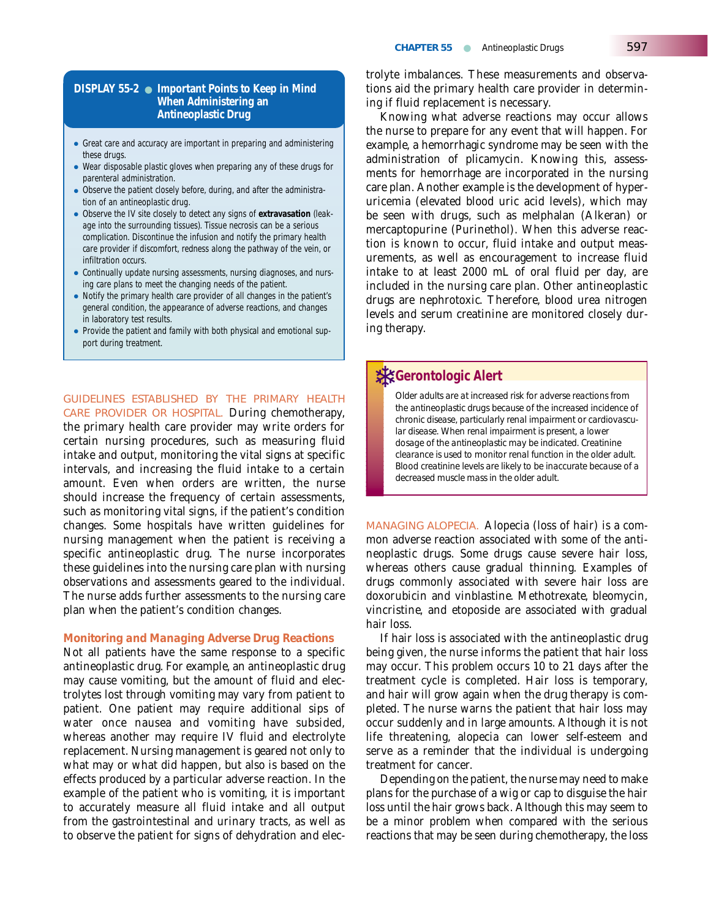### **DISPLAY 55-2** ● **Important Points to Keep in Mind When Administering an Antineoplastic Drug**

- Great care and accuracy are important in preparing and administering these drugs.
- Wear disposable plastic gloves when preparing any of these drugs for parenteral administration.
- Observe the patient closely before, during, and after the administration of an antineoplastic drug.
- Observe the IV site closely to detect any signs of **extravasation** (leakage into the surrounding tissues). Tissue necrosis can be a serious complication. Discontinue the infusion and notify the primary health care provider if discomfort, redness along the pathway of the vein, or infiltration occurs.
- Continually update nursing assessments, nursing diagnoses, and nursing care plans to meet the changing needs of the patient.
- Notify the primary health care provider of all changes in the patient's general condition, the appearance of adverse reactions, and changes in laboratory test results.
- Provide the patient and family with both physical and emotional support during treatment.

## GUIDELINES ESTABLISHED BY THE PRIMARY HEALTH

CARE PROVIDER OR HOSPITAL. During chemotherapy, the primary health care provider may write orders for certain nursing procedures, such as measuring fluid intake and output, monitoring the vital signs at specific intervals, and increasing the fluid intake to a certain amount. Even when orders are written, the nurse should increase the frequency of certain assessments, such as monitoring vital signs, if the patient's condition changes. Some hospitals have written guidelines for nursing management when the patient is receiving a specific antineoplastic drug. The nurse incorporates these guidelines into the nursing care plan with nursing observations and assessments geared to the individual. The nurse adds further assessments to the nursing care plan when the patient's condition changes.

#### *Monitoring and Managing Adverse Drug Reactions*

Not all patients have the same response to a specific antineoplastic drug. For example, an antineoplastic drug may cause vomiting, but the amount of fluid and electrolytes lost through vomiting may vary from patient to patient. One patient may require additional sips of water once nausea and vomiting have subsided, whereas another may require IV fluid and electrolyte replacement. Nursing management is geared not only to what may or what did happen, but also is based on the effects produced by a particular adverse reaction. In the example of the patient who is vomiting, it is important to accurately measure all fluid intake and all output from the gastrointestinal and urinary tracts, as well as to observe the patient for signs of dehydration and electrolyte imbalances. These measurements and observations aid the primary health care provider in determining if fluid replacement is necessary.

Knowing what adverse reactions may occur allows the nurse to prepare for any event that will happen. For example, a hemorrhagic syndrome may be seen with the administration of plicamycin. Knowing this, assessments for hemorrhage are incorporated in the nursing care plan. Another example is the development of hyperuricemia (elevated blood uric acid levels), which may be seen with drugs, such as melphalan (Alkeran) or mercaptopurine (Purinethol). When this adverse reaction is known to occur, fluid intake and output measurements, as well as encouragement to increase fluid intake to at least 2000 mL of oral fluid per day, are included in the nursing care plan. Other antineoplastic drugs are nephrotoxic. Therefore, blood urea nitrogen levels and serum creatinine are monitored closely during therapy.

## ❄**Gerontologic Alert**

*Older adults are at increased risk for adverse reactions from the antineoplastic drugs because of the increased incidence of chronic disease, particularly renal impairment or cardiovascular disease. When renal impairment is present, a lower dosage of the antineoplastic may be indicated. Creatinine clearance is used to monitor renal function in the older adult. Blood creatinine levels are likely to be inaccurate because of a decreased muscle mass in the older adult.* 

MANAGING ALOPECIA. Alopecia (loss of hair) is a common adverse reaction associated with some of the antineoplastic drugs. Some drugs cause severe hair loss, whereas others cause gradual thinning. Examples of drugs commonly associated with severe hair loss are doxorubicin and vinblastine. Methotrexate, bleomycin, vincristine, and etoposide are associated with gradual hair loss.

If hair loss is associated with the antineoplastic drug being given, the nurse informs the patient that hair loss may occur. This problem occurs 10 to 21 days after the treatment cycle is completed. Hair loss is temporary, and hair will grow again when the drug therapy is completed. The nurse warns the patient that hair loss may occur suddenly and in large amounts. Although it is not life threatening, alopecia can lower self-esteem and serve as a reminder that the individual is undergoing treatment for cancer.

Depending on the patient, the nurse may need to make plans for the purchase of a wig or cap to disguise the hair loss until the hair grows back. Although this may seem to be a minor problem when compared with the serious reactions that may be seen during chemotherapy, the loss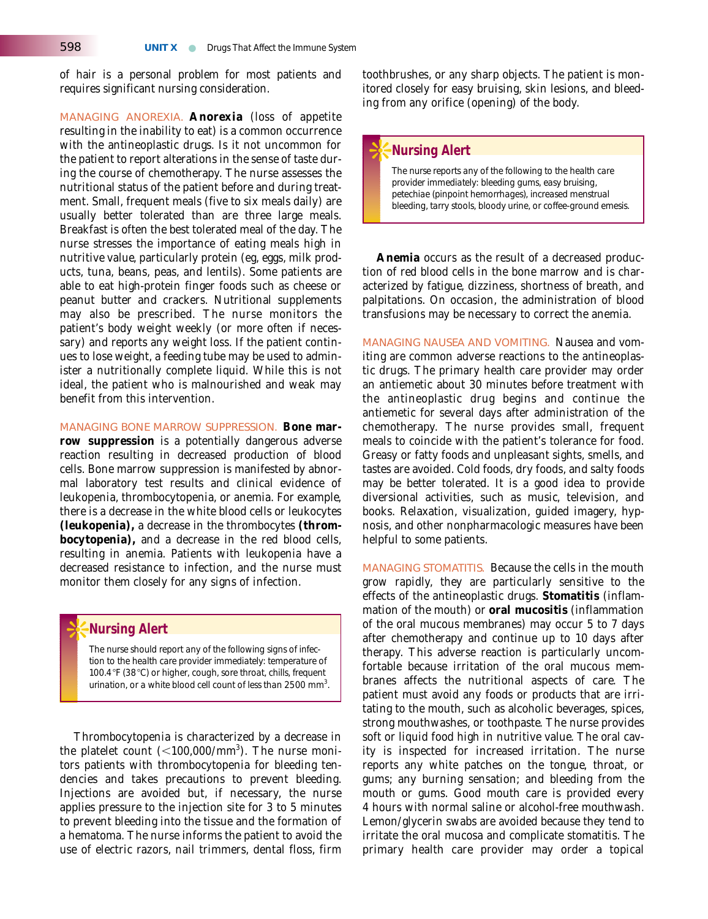of hair is a personal problem for most patients and requires significant nursing consideration.

MANAGING ANOREXIA. **Anorexia** (loss of appetite resulting in the inability to eat) is a common occurrence with the antineoplastic drugs. Is it not uncommon for the patient to report alterations in the sense of taste during the course of chemotherapy. The nurse assesses the nutritional status of the patient before and during treatment. Small, frequent meals (five to six meals daily) are usually better tolerated than are three large meals. Breakfast is often the best tolerated meal of the day. The nurse stresses the importance of eating meals high in nutritive value, particularly protein (eg, eggs, milk products, tuna, beans, peas, and lentils). Some patients are able to eat high-protein finger foods such as cheese or peanut butter and crackers. Nutritional supplements may also be prescribed. The nurse monitors the patient's body weight weekly (or more often if necessary) and reports any weight loss. If the patient continues to lose weight, a feeding tube may be used to administer a nutritionally complete liquid. While this is not ideal, the patient who is malnourished and weak may benefit from this intervention.

MANAGING BONE MARROW SUPPRESSION. **Bone mar-**

**row suppression** is a potentially dangerous adverse reaction resulting in decreased production of blood cells. Bone marrow suppression is manifested by abnormal laboratory test results and clinical evidence of leukopenia, thrombocytopenia, or anemia. For example, there is a decrease in the white blood cells or leukocytes **(leukopenia),** a decrease in the thrombocytes **(thrombocytopenia),** and a decrease in the red blood cells, resulting in anemia. Patients with leukopenia have a decreased resistance to infection, and the nurse must monitor them closely for any signs of infection.

## ❊**Nursing Alert**

*The nurse should report any of the following signs of infection to the health care provider immediately: temperature of 100.4*-*F (38*-*C) or higher, cough, sore throat, chills, frequent urination, or a white blood cell count of less than 2500 mm<sup>3</sup> .* 

Thrombocytopenia is characterized by a decrease in the platelet count  $(<$ 100,000/mm<sup>3</sup>). The nurse monitors patients with thrombocytopenia for bleeding tendencies and takes precautions to prevent bleeding. Injections are avoided but, if necessary, the nurse applies pressure to the injection site for 3 to 5 minutes to prevent bleeding into the tissue and the formation of a hematoma. The nurse informs the patient to avoid the use of electric razors, nail trimmers, dental floss, firm

toothbrushes, or any sharp objects. The patient is monitored closely for easy bruising, skin lesions, and bleeding from any orifice (opening) of the body.

## ❊**Nursing Alert**

*The nurse reports any of the following to the health care provider immediately: bleeding gums, easy bruising, petechiae (pinpoint hemorrhages), increased menstrual bleeding, tarry stools, bloody urine, or coffee-ground emesis.* 

**Anemia** occurs as the result of a decreased production of red blood cells in the bone marrow and is characterized by fatigue, dizziness, shortness of breath, and palpitations. On occasion, the administration of blood transfusions may be necessary to correct the anemia.

MANAGING NAUSEA AND VOMITING. Nausea and vomiting are common adverse reactions to the antineoplastic drugs. The primary health care provider may order an antiemetic about 30 minutes before treatment with the antineoplastic drug begins and continue the antiemetic for several days after administration of the chemotherapy. The nurse provides small, frequent meals to coincide with the patient's tolerance for food. Greasy or fatty foods and unpleasant sights, smells, and tastes are avoided. Cold foods, dry foods, and salty foods may be better tolerated. It is a good idea to provide diversional activities, such as music, television, and books. Relaxation, visualization, guided imagery, hypnosis, and other nonpharmacologic measures have been helpful to some patients.

MANAGING STOMATITIS. Because the cells in the mouth grow rapidly, they are particularly sensitive to the effects of the antineoplastic drugs. **Stomatitis** (inflammation of the mouth) or **oral mucositis** (inflammation of the oral mucous membranes) may occur 5 to 7 days after chemotherapy and continue up to 10 days after therapy. This adverse reaction is particularly uncomfortable because irritation of the oral mucous membranes affects the nutritional aspects of care. The patient must avoid any foods or products that are irritating to the mouth, such as alcoholic beverages, spices, strong mouthwashes, or toothpaste. The nurse provides soft or liquid food high in nutritive value. The oral cavity is inspected for increased irritation. The nurse reports any white patches on the tongue, throat, or gums; any burning sensation; and bleeding from the mouth or gums. Good mouth care is provided every 4 hours with normal saline or alcohol-free mouthwash. Lemon/glycerin swabs are avoided because they tend to irritate the oral mucosa and complicate stomatitis. The primary health care provider may order a topical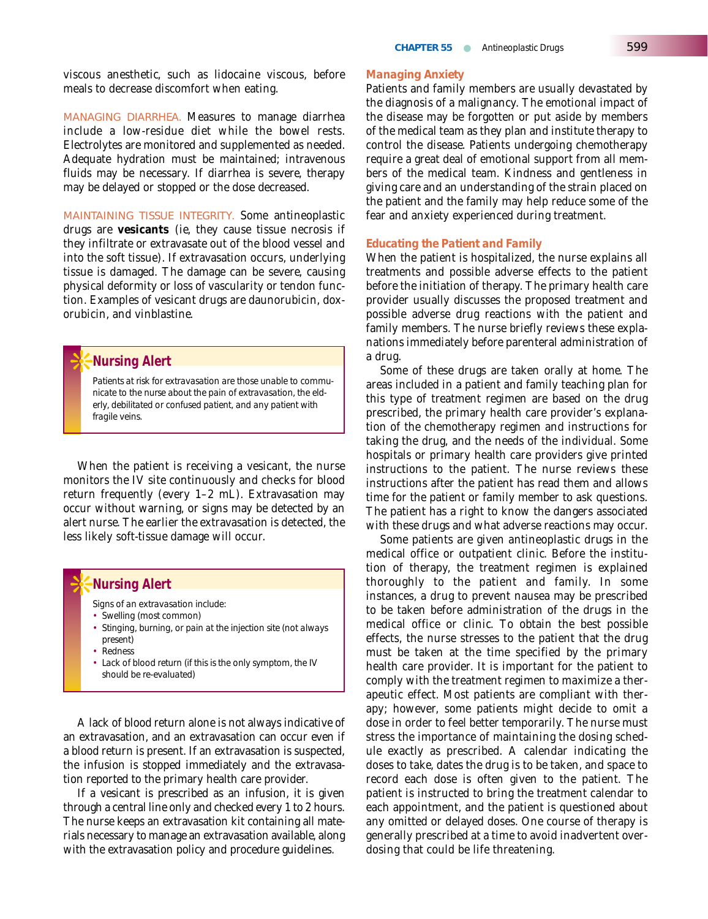viscous anesthetic, such as lidocaine viscous, before meals to decrease discomfort when eating.

MANAGING DIARRHEA. Measures to manage diarrhea include a low-residue diet while the bowel rests. Electrolytes are monitored and supplemented as needed. Adequate hydration must be maintained; intravenous fluids may be necessary. If diarrhea is severe, therapy may be delayed or stopped or the dose decreased.

MAINTAINING TISSUE INTEGRITY. Some antineoplastic drugs are **vesicants** (ie, they cause tissue necrosis if they infiltrate or extravasate out of the blood vessel and into the soft tissue). If extravasation occurs, underlying tissue is damaged. The damage can be severe, causing physical deformity or loss of vascularity or tendon function. Examples of vesicant drugs are daunorubicin, doxorubicin, and vinblastine.

### ❊**Nursing Alert**

*Patients at risk for extravasation are those unable to communicate to the nurse about the pain of extravasation, the elderly, debilitated or confused patient, and any patient with fragile veins.*

When the patient is receiving a vesicant, the nurse monitors the IV site continuously and checks for blood return frequently (every 1–2 mL). Extravasation may occur without warning, or signs may be detected by an alert nurse. The earlier the extravasation is detected, the less likely soft-tissue damage will occur.

## ❊**Nursing Alert**

*Signs of an extravasation include:*

- *Swelling (most common)*
- *Stinging, burning, or pain at the injection site (not always present)*
- *Redness*
- *Lack of blood return (if this is the only symptom, the IV should be re-evaluated)*

A lack of blood return alone is not always indicative of an extravasation, and an extravasation can occur even if a blood return is present. If an extravasation is suspected, the infusion is stopped immediately and the extravasation reported to the primary health care provider.

If a vesicant is prescribed as an infusion, it is given through a central line only and checked every 1 to 2 hours. The nurse keeps an extravasation kit containing all materials necessary to manage an extravasation available, along with the extravasation policy and procedure guidelines.

#### *Managing Anxiety*

Patients and family members are usually devastated by the diagnosis of a malignancy. The emotional impact of the disease may be forgotten or put aside by members of the medical team as they plan and institute therapy to control the disease. Patients undergoing chemotherapy require a great deal of emotional support from all members of the medical team. Kindness and gentleness in giving care and an understanding of the strain placed on the patient and the family may help reduce some of the fear and anxiety experienced during treatment.

#### *Educating the Patient and Family*

When the patient is hospitalized, the nurse explains all treatments and possible adverse effects to the patient before the initiation of therapy. The primary health care provider usually discusses the proposed treatment and possible adverse drug reactions with the patient and family members. The nurse briefly reviews these explanations immediately before parenteral administration of a drug.

Some of these drugs are taken orally at home. The areas included in a patient and family teaching plan for this type of treatment regimen are based on the drug prescribed, the primary health care provider's explanation of the chemotherapy regimen and instructions for taking the drug, and the needs of the individual. Some hospitals or primary health care providers give printed instructions to the patient. The nurse reviews these instructions after the patient has read them and allows time for the patient or family member to ask questions. The patient has a right to know the dangers associated with these drugs and what adverse reactions may occur.

Some patients are given antineoplastic drugs in the medical office or outpatient clinic. Before the institution of therapy, the treatment regimen is explained thoroughly to the patient and family. In some instances, a drug to prevent nausea may be prescribed to be taken before administration of the drugs in the medical office or clinic. To obtain the best possible effects, the nurse stresses to the patient that the drug must be taken at the time specified by the primary health care provider. It is important for the patient to comply with the treatment regimen to maximize a therapeutic effect. Most patients are compliant with therapy; however, some patients might decide to omit a dose in order to feel better temporarily. The nurse must stress the importance of maintaining the dosing schedule exactly as prescribed. A calendar indicating the doses to take, dates the drug is to be taken, and space to record each dose is often given to the patient. The patient is instructed to bring the treatment calendar to each appointment, and the patient is questioned about any omitted or delayed doses. One course of therapy is generally prescribed at a time to avoid inadvertent overdosing that could be life threatening.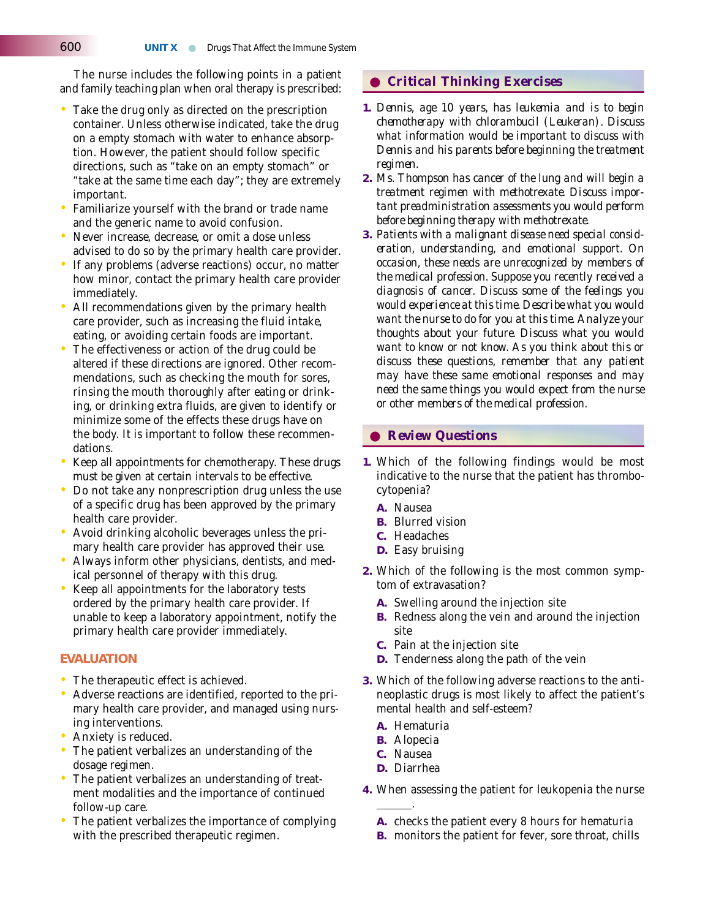The nurse includes the following points in a patient and family teaching plan when oral therapy is prescribed:

- Take the drug only as directed on the prescription container. Unless otherwise indicated, take the drug on a empty stomach with water to enhance absorption. However, the patient should follow specific directions, such as "take on an empty stomach" or "take at the same time each day"; they are extremely important.
- Familiarize yourself with the brand or trade name and the generic name to avoid confusion.
- Never increase, decrease, or omit a dose unless advised to do so by the primary health care provider.
- If any problems (adverse reactions) occur, no matter how minor, contact the primary health care provider immediately.
- All recommendations given by the primary health care provider, such as increasing the fluid intake, eating, or avoiding certain foods are important.
- The effectiveness or action of the drug could be altered if these directions are ignored. Other recommendations, such as checking the mouth for sores, rinsing the mouth thoroughly after eating or drinking, or drinking extra fluids, are given to identify or minimize some of the effects these drugs have on the body. It is important to follow these recommendations.
- Keep all appointments for chemotherapy. These drugs must be given at certain intervals to be effective.
- Do not take any nonprescription drug unless the use of a specific drug has been approved by the primary health care provider.
- Avoid drinking alcoholic beverages unless the primary health care provider has approved their use.
- Always inform other physicians, dentists, and medical personnel of therapy with this drug.
- Keep all appointments for the laboratory tests ordered by the primary health care provider. If unable to keep a laboratory appointment, notify the primary health care provider immediately.

## **EVALUATION**

- The therapeutic effect is achieved.
- Adverse reactions are identified, reported to the primary health care provider, and managed using nursing interventions.
- Anxiety is reduced.
- The patient verbalizes an understanding of the dosage regimen.
- The patient verbalizes an understanding of treatment modalities and the importance of continued follow-up care.
- The patient verbalizes the importance of complying with the prescribed therapeutic regimen.

## ● *Critical Thinking Exercises*

- **1.** *Dennis, age 10 years, has leukemia and is to begin chemotherapy with chlorambucil (Leukeran). Discuss what information would be important to discuss with Dennis and his parents before beginning the treatment regimen.*
- **2.** *Ms. Thompson has cancer of the lung and will begin a treatment regimen with methotrexate. Discuss important preadministration assessments you would perform before beginning therapy with methotrexate.*
- **3.** *Patients with a malignant disease need special consideration, understanding, and emotional support. On occasion, these needs are unrecognized by members of the medical profession. Suppose you recently received a diagnosis of cancer. Discuss some of the feelings you would experience at this time. Describe what you would want the nurse to do for you at this time. Analyze your thoughts about your future. Discuss what you would want to know or not know. As you think about this or discuss these questions, remember that any patient may have these same emotional responses and may need the same things you would expect from the nurse or other members of the medical profession.*

## ● *Review Questions*

- **1.** Which of the following findings would be most indicative to the nurse that the patient has thrombocytopenia?
	- **A.** Nausea
	- **B.** Blurred vision
	- **C.** Headaches
	- **D.** Easy bruising
- **2.** Which of the following is the most common symptom of extravasation?
	- **A.** Swelling around the injection site
	- **B.** Redness along the vein and around the injection site
	- **C.** Pain at the injection site
	- **D.** Tenderness along the path of the vein
- **3.** Which of the following adverse reactions to the antineoplastic drugs is most likely to affect the patient's mental health and self-esteem?
	- **A.** Hematuria
	- **B.** Alopecia
	- **C.** Nausea
	- **D.** Diarrhea

.

**4.** When assessing the patient for leukopenia the nurse

**B.** monitors the patient for fever, sore throat, chills

**A.** checks the patient every 8 hours for hematuria